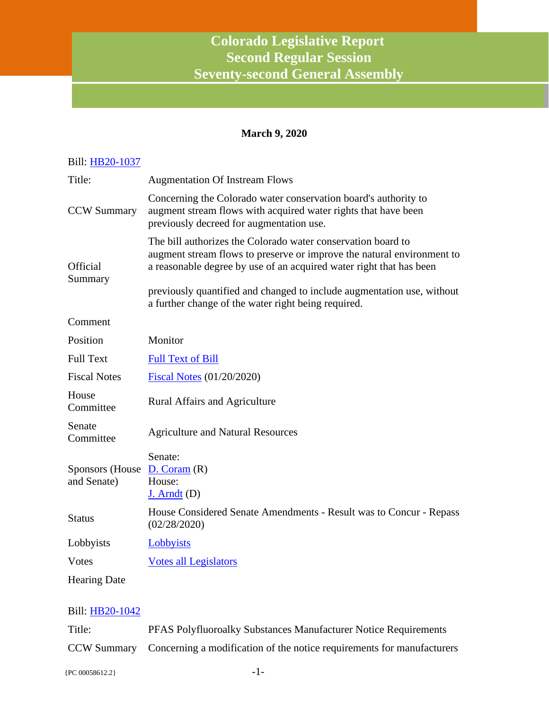# **Colorado Legislative Report Second Regular Session Seventy-second General Assembly**

# **March 9, 2020**

| Bill: HB20-1037                 |                                                                                                                                                                                                                                                                                         |
|---------------------------------|-----------------------------------------------------------------------------------------------------------------------------------------------------------------------------------------------------------------------------------------------------------------------------------------|
| Title:                          | <b>Augmentation Of Instream Flows</b>                                                                                                                                                                                                                                                   |
| <b>CCW Summary</b>              | Concerning the Colorado water conservation board's authority to<br>augment stream flows with acquired water rights that have been<br>previously decreed for augmentation use.                                                                                                           |
| Official<br>Summary             | The bill authorizes the Colorado water conservation board to<br>augment stream flows to preserve or improve the natural environment to<br>a reasonable degree by use of an acquired water right that has been<br>previously quantified and changed to include augmentation use, without |
|                                 | a further change of the water right being required.                                                                                                                                                                                                                                     |
| Comment                         |                                                                                                                                                                                                                                                                                         |
| Position                        | Monitor                                                                                                                                                                                                                                                                                 |
| <b>Full Text</b>                | <b>Full Text of Bill</b>                                                                                                                                                                                                                                                                |
| <b>Fiscal Notes</b>             | <b>Fiscal Notes</b> (01/20/2020)                                                                                                                                                                                                                                                        |
| House<br>Committee              | Rural Affairs and Agriculture                                                                                                                                                                                                                                                           |
| Senate<br>Committee             | <b>Agriculture and Natural Resources</b>                                                                                                                                                                                                                                                |
| Sponsors (House)<br>and Senate) | Senate:<br>D. Coram(R)<br>House:<br>$J.$ Arndt $(D)$                                                                                                                                                                                                                                    |
| <b>Status</b>                   | House Considered Senate Amendments - Result was to Concur - Repass<br>(02/28/2020)                                                                                                                                                                                                      |
| Lobbyists                       | Lobbyists                                                                                                                                                                                                                                                                               |
| Votes                           | <b>Votes all Legislators</b>                                                                                                                                                                                                                                                            |
| <b>Hearing Date</b>             |                                                                                                                                                                                                                                                                                         |

## Bill: [HB20-1042](http://coloradocapitolwatch.com/bill/0/HB20-1042/2020/1/)

| Title: | <b>PFAS Polyfluoroalky Substances Manufacturer Notice Requirements</b>             |
|--------|------------------------------------------------------------------------------------|
|        | CCW Summary Concerning a modification of the notice requirements for manufacturers |

 ${PC 00058612.2}$  -1-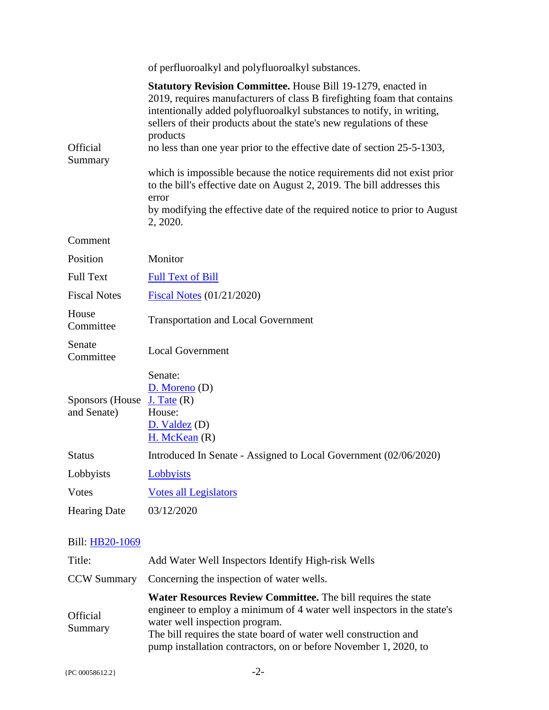|                                | of perfluoroalkyl and polyfluoroalkyl substances.                                                                                                                                                                                                                                                                                                                                                                                                                 |
|--------------------------------|-------------------------------------------------------------------------------------------------------------------------------------------------------------------------------------------------------------------------------------------------------------------------------------------------------------------------------------------------------------------------------------------------------------------------------------------------------------------|
| Official<br>Summary            | <b>Statutory Revision Committee.</b> House Bill 19-1279, enacted in<br>2019, requires manufacturers of class B firefighting foam that contains<br>intentionally added polyfluoroalkyl substances to notify, in writing,<br>sellers of their products about the state's new regulations of these<br>products<br>no less than one year prior to the effective date of section 25-5-1303,<br>which is impossible because the notice requirements did not exist prior |
|                                | to the bill's effective date on August 2, 2019. The bill addresses this<br>error<br>by modifying the effective date of the required notice to prior to August<br>2, 2020.                                                                                                                                                                                                                                                                                         |
| Comment                        |                                                                                                                                                                                                                                                                                                                                                                                                                                                                   |
| Position                       | Monitor                                                                                                                                                                                                                                                                                                                                                                                                                                                           |
| <b>Full Text</b>               | <b>Full Text of Bill</b>                                                                                                                                                                                                                                                                                                                                                                                                                                          |
| <b>Fiscal Notes</b>            | <b>Fiscal Notes (01/21/2020)</b>                                                                                                                                                                                                                                                                                                                                                                                                                                  |
| House<br>Committee             | <b>Transportation and Local Government</b>                                                                                                                                                                                                                                                                                                                                                                                                                        |
| Senate<br>Committee            | <b>Local Government</b>                                                                                                                                                                                                                                                                                                                                                                                                                                           |
| Sponsors (House<br>and Senate) | Senate:<br>$D.$ Moreno (D)<br>$J.$ Tate $(R)$<br>House:<br>D. Valdez (D)<br>$H.$ McKean $(R)$                                                                                                                                                                                                                                                                                                                                                                     |
| <b>Status</b>                  | Introduced In Senate - Assigned to Local Government (02/06/2020)                                                                                                                                                                                                                                                                                                                                                                                                  |
| Lobbyists                      | Lobbyists                                                                                                                                                                                                                                                                                                                                                                                                                                                         |
| <b>V</b> otes                  | <b>Votes all Legislators</b>                                                                                                                                                                                                                                                                                                                                                                                                                                      |
| <b>Hearing Date</b>            | 03/12/2020                                                                                                                                                                                                                                                                                                                                                                                                                                                        |

| Title:                     | Add Water Well Inspectors Identify High-risk Wells                                                                                                                                                                                                                                                                       |
|----------------------------|--------------------------------------------------------------------------------------------------------------------------------------------------------------------------------------------------------------------------------------------------------------------------------------------------------------------------|
| <b>CCW Summary</b>         | Concerning the inspection of water wells.                                                                                                                                                                                                                                                                                |
| <b>Official</b><br>Summary | <b>Water Resources Review Committee.</b> The bill requires the state<br>engineer to employ a minimum of 4 water well inspectors in the state's<br>water well inspection program.<br>The bill requires the state board of water well construction and<br>pump installation contractors, on or before November 1, 2020, to |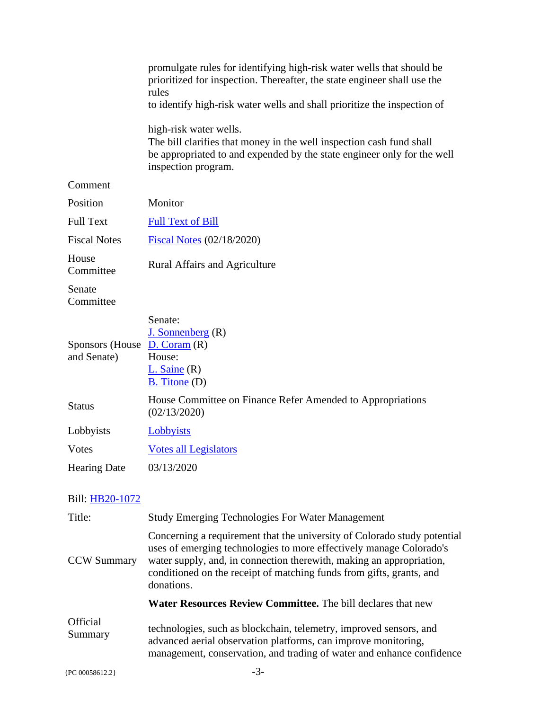|                                | promulgate rules for identifying high-risk water wells that should be<br>prioritized for inspection. Thereafter, the state engineer shall use the<br>rules                                       |
|--------------------------------|--------------------------------------------------------------------------------------------------------------------------------------------------------------------------------------------------|
|                                | to identify high-risk water wells and shall prioritize the inspection of                                                                                                                         |
|                                | high-risk water wells.<br>The bill clarifies that money in the well inspection cash fund shall<br>be appropriated to and expended by the state engineer only for the well<br>inspection program. |
| Comment                        |                                                                                                                                                                                                  |
| Position                       | Monitor                                                                                                                                                                                          |
| <b>Full Text</b>               | <b>Full Text of Bill</b>                                                                                                                                                                         |
| <b>Fiscal Notes</b>            | <b>Fiscal Notes (02/18/2020)</b>                                                                                                                                                                 |
| House<br>Committee             | <b>Rural Affairs and Agriculture</b>                                                                                                                                                             |
| Senate<br>Committee            |                                                                                                                                                                                                  |
| Sponsors (House<br>and Senate) | Senate:<br>$J.$ Sonnenberg $(R)$<br>D. Coram(R)<br>House:<br>$L.$ Saine $(R)$<br>B. Titone (D)                                                                                                   |
| <b>Status</b>                  | House Committee on Finance Refer Amended to Appropriations<br>(02/13/2020)                                                                                                                       |
| Lobbyists                      | Lobbyists                                                                                                                                                                                        |
| <b>V</b> otes                  | <b>Votes all Legislators</b>                                                                                                                                                                     |
| <b>Hearing Date</b>            | 03/13/2020                                                                                                                                                                                       |

| Title:              | <b>Study Emerging Technologies For Water Management</b>                                                                                                                                                                                                                                                       |
|---------------------|---------------------------------------------------------------------------------------------------------------------------------------------------------------------------------------------------------------------------------------------------------------------------------------------------------------|
| <b>CCW Summary</b>  | Concerning a requirement that the university of Colorado study potential<br>uses of emerging technologies to more effectively manage Colorado's<br>water supply, and, in connection therewith, making an appropriation,<br>conditioned on the receipt of matching funds from gifts, grants, and<br>donations. |
|                     | <b>Water Resources Review Committee.</b> The bill declares that new                                                                                                                                                                                                                                           |
| Official<br>Summary | technologies, such as blockchain, telemetry, improved sensors, and<br>advanced aerial observation platforms, can improve monitoring,<br>management, conservation, and trading of water and enhance confidence                                                                                                 |
| {PC 00058612.2}     |                                                                                                                                                                                                                                                                                                               |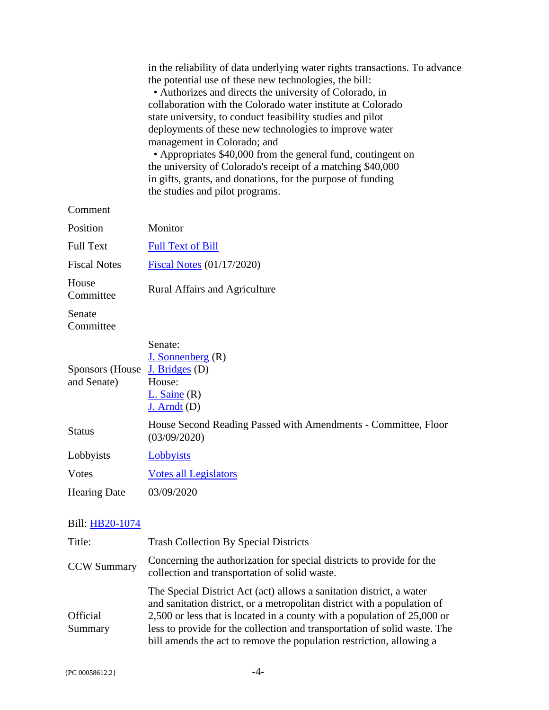|                                | in the reliability of data underlying water rights transactions. To advance<br>the potential use of these new technologies, the bill:<br>• Authorizes and directs the university of Colorado, in<br>collaboration with the Colorado water institute at Colorado<br>state university, to conduct feasibility studies and pilot<br>deployments of these new technologies to improve water<br>management in Colorado; and<br>• Appropriates \$40,000 from the general fund, contingent on<br>the university of Colorado's receipt of a matching \$40,000<br>in gifts, grants, and donations, for the purpose of funding<br>the studies and pilot programs. |
|--------------------------------|---------------------------------------------------------------------------------------------------------------------------------------------------------------------------------------------------------------------------------------------------------------------------------------------------------------------------------------------------------------------------------------------------------------------------------------------------------------------------------------------------------------------------------------------------------------------------------------------------------------------------------------------------------|
| Comment                        |                                                                                                                                                                                                                                                                                                                                                                                                                                                                                                                                                                                                                                                         |
| Position                       | Monitor                                                                                                                                                                                                                                                                                                                                                                                                                                                                                                                                                                                                                                                 |
| <b>Full Text</b>               | <b>Full Text of Bill</b>                                                                                                                                                                                                                                                                                                                                                                                                                                                                                                                                                                                                                                |
| <b>Fiscal Notes</b>            | <b>Fiscal Notes (01/17/2020)</b>                                                                                                                                                                                                                                                                                                                                                                                                                                                                                                                                                                                                                        |
| House<br>Committee             | <b>Rural Affairs and Agriculture</b>                                                                                                                                                                                                                                                                                                                                                                                                                                                                                                                                                                                                                    |
| Senate<br>Committee            |                                                                                                                                                                                                                                                                                                                                                                                                                                                                                                                                                                                                                                                         |
| Sponsors (House<br>and Senate) | Senate:<br>J. Sonnenberg(R)<br>J. Bridges (D)<br>House:<br>$L.$ Saine $(R)$<br>$J.$ Arndt $(D)$                                                                                                                                                                                                                                                                                                                                                                                                                                                                                                                                                         |
| <b>Status</b>                  | House Second Reading Passed with Amendments - Committee, Floor<br>(03/09/2020)                                                                                                                                                                                                                                                                                                                                                                                                                                                                                                                                                                          |
| Lobbyists                      | Lobbyists                                                                                                                                                                                                                                                                                                                                                                                                                                                                                                                                                                                                                                               |
| <b>V</b> otes                  | <b>Votes all Legislators</b>                                                                                                                                                                                                                                                                                                                                                                                                                                                                                                                                                                                                                            |
| <b>Hearing Date</b>            | 03/09/2020                                                                                                                                                                                                                                                                                                                                                                                                                                                                                                                                                                                                                                              |
| Bill: HB20-1074                |                                                                                                                                                                                                                                                                                                                                                                                                                                                                                                                                                                                                                                                         |

#### Title: Trash Collection By Special Districts CCW Summary Concerning the authorization for special districts to provide for the collection and transportation of solid waste. **Official** Summary The Special District Act (act) allows a sanitation district, a water and sanitation district, or a metropolitan district with a population of 2,500 or less that is located in a county with a population of 25,000 or less to provide for the collection and transportation of solid waste. The bill amends the act to remove the population restriction, allowing a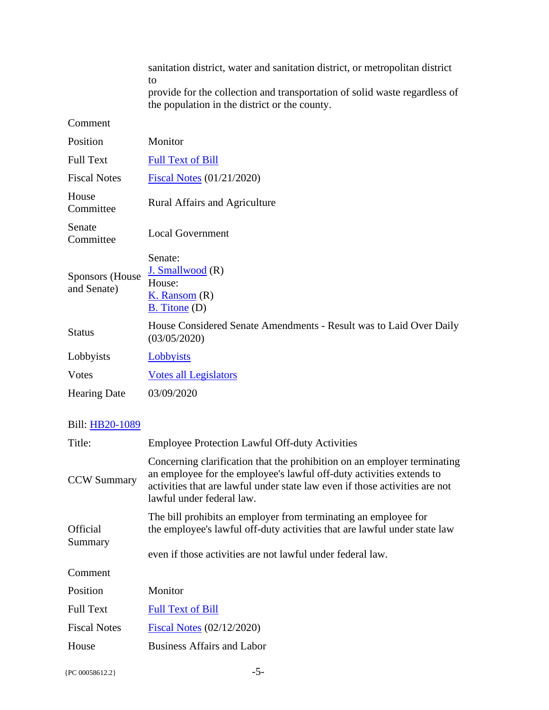|                                       | sanitation district, water and sanitation district, or metropolitan district<br>to<br>provide for the collection and transportation of solid waste regardless of<br>the population in the district or the county. |
|---------------------------------------|-------------------------------------------------------------------------------------------------------------------------------------------------------------------------------------------------------------------|
| Comment                               |                                                                                                                                                                                                                   |
| Position                              | Monitor                                                                                                                                                                                                           |
| <b>Full Text</b>                      | <b>Full Text of Bill</b>                                                                                                                                                                                          |
| <b>Fiscal Notes</b>                   | <b>Fiscal Notes (01/21/2020)</b>                                                                                                                                                                                  |
| House<br>Committee                    | <b>Rural Affairs and Agriculture</b>                                                                                                                                                                              |
| Senate<br>Committee                   | <b>Local Government</b>                                                                                                                                                                                           |
| <b>Sponsors</b> (House<br>and Senate) | Senate:<br>J. Smallwood (R)<br>House:<br>$K.$ Ransom $(R)$<br>$B.$ Titone $(D)$                                                                                                                                   |
| <b>Status</b>                         | House Considered Senate Amendments - Result was to Laid Over Daily<br>(03/05/2020)                                                                                                                                |
| Lobbyists                             | Lobbyists                                                                                                                                                                                                         |
| <b>V</b> otes                         | <b>Votes all Legislators</b>                                                                                                                                                                                      |
| <b>Hearing Date</b>                   | 03/09/2020                                                                                                                                                                                                        |

| Title:                     | <b>Employee Protection Lawful Off-duty Activities</b>                                                                                                                                                                                                        |
|----------------------------|--------------------------------------------------------------------------------------------------------------------------------------------------------------------------------------------------------------------------------------------------------------|
| <b>CCW Summary</b>         | Concerning clarification that the prohibition on an employer terminating<br>an employee for the employee's lawful off-duty activities extends to<br>activities that are lawful under state law even if those activities are not<br>lawful under federal law. |
| <b>Official</b><br>Summary | The bill prohibits an employer from terminating an employee for<br>the employee's lawful off-duty activities that are lawful under state law<br>even if those activities are not lawful under federal law.                                                   |
| Comment                    |                                                                                                                                                                                                                                                              |
| <b>Position</b>            | Monitor                                                                                                                                                                                                                                                      |
| <b>Full Text</b>           | <b>Full Text of Bill</b>                                                                                                                                                                                                                                     |
| <b>Fiscal Notes</b>        | Fiscal Notes (02/12/2020)                                                                                                                                                                                                                                    |
| House                      | <b>Business Affairs and Labor</b>                                                                                                                                                                                                                            |
|                            |                                                                                                                                                                                                                                                              |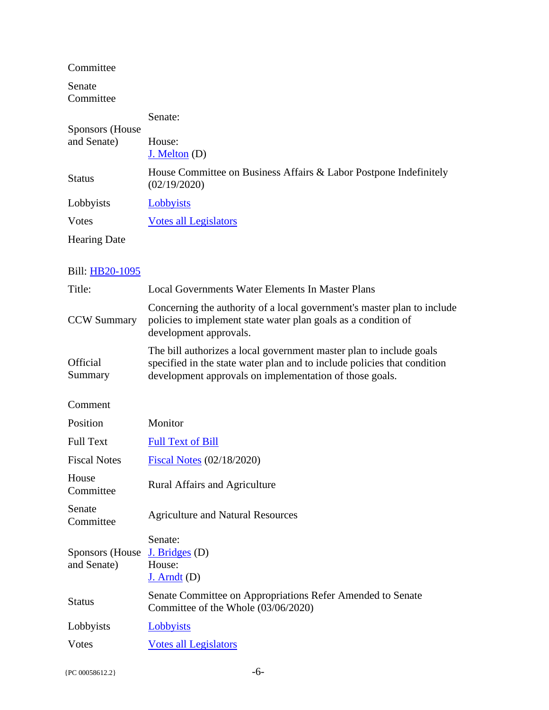Committee

Senate Committee

| Sponsors (House)<br>and Senate) | Senate:                                                                           |
|---------------------------------|-----------------------------------------------------------------------------------|
|                                 | House:<br>$J.$ Melton $(D)$                                                       |
| <b>Status</b>                   | House Committee on Business Affairs & Labor Postpone Indefinitely<br>(02/19/2020) |
| Lobbyists                       | Lobbyists                                                                         |
| Votes                           | <b>Votes all Legislators</b>                                                      |
| <b>Hearing Date</b>             |                                                                                   |

| Title:                                | <b>Local Governments Water Elements In Master Plans</b>                                                                                                                                                    |
|---------------------------------------|------------------------------------------------------------------------------------------------------------------------------------------------------------------------------------------------------------|
| <b>CCW Summary</b>                    | Concerning the authority of a local government's master plan to include<br>policies to implement state water plan goals as a condition of<br>development approvals.                                        |
| Official<br>Summary                   | The bill authorizes a local government master plan to include goals<br>specified in the state water plan and to include policies that condition<br>development approvals on implementation of those goals. |
| Comment                               |                                                                                                                                                                                                            |
| Position                              | Monitor                                                                                                                                                                                                    |
| <b>Full Text</b>                      | <b>Full Text of Bill</b>                                                                                                                                                                                   |
| <b>Fiscal Notes</b>                   | <b>Fiscal Notes (02/18/2020)</b>                                                                                                                                                                           |
| House<br>Committee                    | <b>Rural Affairs and Agriculture</b>                                                                                                                                                                       |
| Senate<br>Committee                   | <b>Agriculture and Natural Resources</b>                                                                                                                                                                   |
| <b>Sponsors</b> (House<br>and Senate) | Senate:<br>$J.$ Bridges (D)<br>House:<br>$J.$ Arndt $(D)$                                                                                                                                                  |
| <b>Status</b>                         | Senate Committee on Appropriations Refer Amended to Senate<br>Committee of the Whole (03/06/2020)                                                                                                          |
| Lobbyists                             | Lobbyists                                                                                                                                                                                                  |
| <b>Votes</b>                          | <b>Votes all Legislators</b>                                                                                                                                                                               |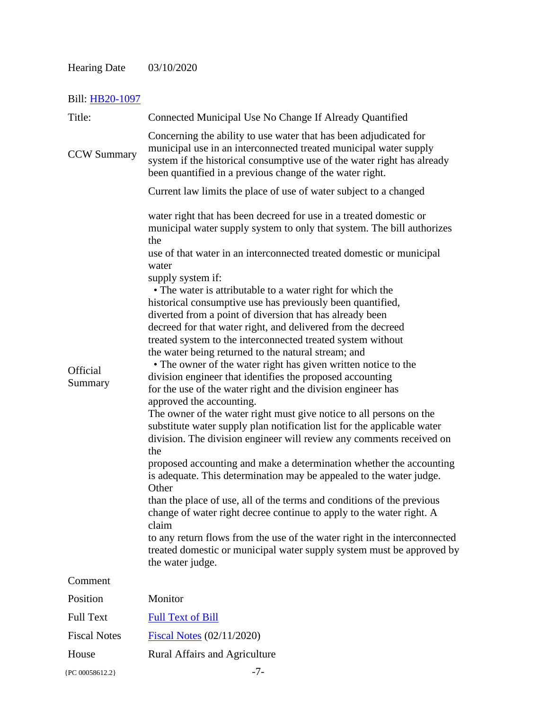# Hearing Date 03/10/2020

| Title:              | Connected Municipal Use No Change If Already Quantified                                                                                                                                                                                                                                                                                                                                                                                                                                                                                                                                                                                                                                                                                                                                                                                                                                                                                                                                                                                                                                                                                                                                                                                                                                                                                                                                                                                                                                                                                                                                         |
|---------------------|-------------------------------------------------------------------------------------------------------------------------------------------------------------------------------------------------------------------------------------------------------------------------------------------------------------------------------------------------------------------------------------------------------------------------------------------------------------------------------------------------------------------------------------------------------------------------------------------------------------------------------------------------------------------------------------------------------------------------------------------------------------------------------------------------------------------------------------------------------------------------------------------------------------------------------------------------------------------------------------------------------------------------------------------------------------------------------------------------------------------------------------------------------------------------------------------------------------------------------------------------------------------------------------------------------------------------------------------------------------------------------------------------------------------------------------------------------------------------------------------------------------------------------------------------------------------------------------------------|
| <b>CCW Summary</b>  | Concerning the ability to use water that has been adjudicated for<br>municipal use in an interconnected treated municipal water supply<br>system if the historical consumptive use of the water right has already<br>been quantified in a previous change of the water right.                                                                                                                                                                                                                                                                                                                                                                                                                                                                                                                                                                                                                                                                                                                                                                                                                                                                                                                                                                                                                                                                                                                                                                                                                                                                                                                   |
|                     | Current law limits the place of use of water subject to a changed                                                                                                                                                                                                                                                                                                                                                                                                                                                                                                                                                                                                                                                                                                                                                                                                                                                                                                                                                                                                                                                                                                                                                                                                                                                                                                                                                                                                                                                                                                                               |
| Official<br>Summary | water right that has been decreed for use in a treated domestic or<br>municipal water supply system to only that system. The bill authorizes<br>the<br>use of that water in an interconnected treated domestic or municipal<br>water<br>supply system if:<br>• The water is attributable to a water right for which the<br>historical consumptive use has previously been quantified,<br>diverted from a point of diversion that has already been<br>decreed for that water right, and delivered from the decreed<br>treated system to the interconnected treated system without<br>the water being returned to the natural stream; and<br>• The owner of the water right has given written notice to the<br>division engineer that identifies the proposed accounting<br>for the use of the water right and the division engineer has<br>approved the accounting.<br>The owner of the water right must give notice to all persons on the<br>substitute water supply plan notification list for the applicable water<br>division. The division engineer will review any comments received on<br>the<br>proposed accounting and make a determination whether the accounting<br>is adequate. This determination may be appealed to the water judge.<br>Other<br>than the place of use, all of the terms and conditions of the previous<br>change of water right decree continue to apply to the water right. A<br>claim<br>to any return flows from the use of the water right in the interconnected<br>treated domestic or municipal water supply system must be approved by<br>the water judge. |
| Comment             |                                                                                                                                                                                                                                                                                                                                                                                                                                                                                                                                                                                                                                                                                                                                                                                                                                                                                                                                                                                                                                                                                                                                                                                                                                                                                                                                                                                                                                                                                                                                                                                                 |
| Position            | Monitor                                                                                                                                                                                                                                                                                                                                                                                                                                                                                                                                                                                                                                                                                                                                                                                                                                                                                                                                                                                                                                                                                                                                                                                                                                                                                                                                                                                                                                                                                                                                                                                         |
| <b>Full Text</b>    | <b>Full Text of Bill</b>                                                                                                                                                                                                                                                                                                                                                                                                                                                                                                                                                                                                                                                                                                                                                                                                                                                                                                                                                                                                                                                                                                                                                                                                                                                                                                                                                                                                                                                                                                                                                                        |
| <b>Fiscal Notes</b> | Fiscal Notes $(02/11/2020)$                                                                                                                                                                                                                                                                                                                                                                                                                                                                                                                                                                                                                                                                                                                                                                                                                                                                                                                                                                                                                                                                                                                                                                                                                                                                                                                                                                                                                                                                                                                                                                     |
| House               | <b>Rural Affairs and Agriculture</b>                                                                                                                                                                                                                                                                                                                                                                                                                                                                                                                                                                                                                                                                                                                                                                                                                                                                                                                                                                                                                                                                                                                                                                                                                                                                                                                                                                                                                                                                                                                                                            |
| {PC 00058612.2}     | $-7-$                                                                                                                                                                                                                                                                                                                                                                                                                                                                                                                                                                                                                                                                                                                                                                                                                                                                                                                                                                                                                                                                                                                                                                                                                                                                                                                                                                                                                                                                                                                                                                                           |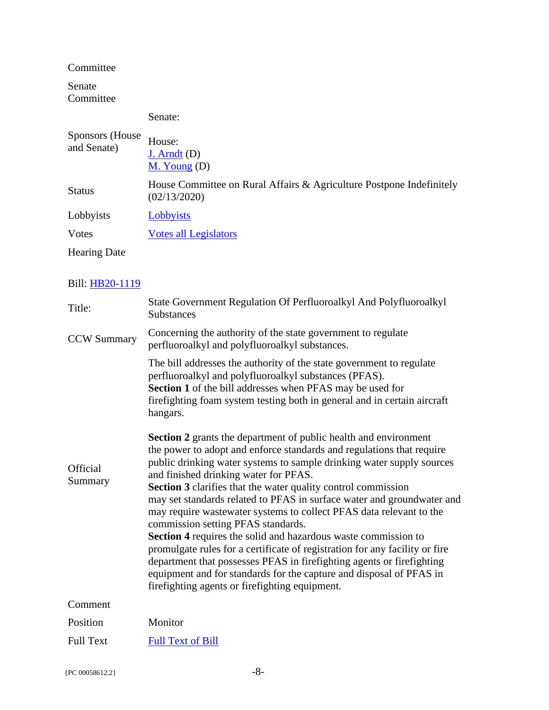Committee

Senate Committee

## Senate:

| Sponsors (House)<br>and Senate) | House:<br>$J.$ Arndt $(D)$<br>$M.$ Young $(D)$                                       |
|---------------------------------|--------------------------------------------------------------------------------------|
| <b>Status</b>                   | House Committee on Rural Affairs & Agriculture Postpone Indefinitely<br>(02/13/2020) |
| Lobbyists                       | Lobbyists                                                                            |
| Votes                           | <b>Votes all Legislators</b>                                                         |
| <b>Hearing Date</b>             |                                                                                      |

| Title:              | State Government Regulation Of Perfluoroalkyl And Polyfluoroalkyl<br><b>Substances</b>                                                                                                                                                                                                                                                                                                                                                                                                                                                                                                                                                                                                                                                                                                                                                                                               |
|---------------------|--------------------------------------------------------------------------------------------------------------------------------------------------------------------------------------------------------------------------------------------------------------------------------------------------------------------------------------------------------------------------------------------------------------------------------------------------------------------------------------------------------------------------------------------------------------------------------------------------------------------------------------------------------------------------------------------------------------------------------------------------------------------------------------------------------------------------------------------------------------------------------------|
| <b>CCW Summary</b>  | Concerning the authority of the state government to regulate<br>perfluoroalkyl and polyfluoroalkyl substances.                                                                                                                                                                                                                                                                                                                                                                                                                                                                                                                                                                                                                                                                                                                                                                       |
|                     | The bill addresses the authority of the state government to regulate<br>perfluoroalkyl and polyfluoroalkyl substances (PFAS).<br><b>Section 1</b> of the bill addresses when PFAS may be used for<br>firefighting foam system testing both in general and in certain aircraft<br>hangars.                                                                                                                                                                                                                                                                                                                                                                                                                                                                                                                                                                                            |
| Official<br>Summary | <b>Section 2</b> grants the department of public health and environment<br>the power to adopt and enforce standards and regulations that require<br>public drinking water systems to sample drinking water supply sources<br>and finished drinking water for PFAS.<br>Section 3 clarifies that the water quality control commission<br>may set standards related to PFAS in surface water and groundwater and<br>may require wastewater systems to collect PFAS data relevant to the<br>commission setting PFAS standards.<br><b>Section 4</b> requires the solid and hazardous waste commission to<br>promulgate rules for a certificate of registration for any facility or fire<br>department that possesses PFAS in firefighting agents or firefighting<br>equipment and for standards for the capture and disposal of PFAS in<br>firefighting agents or firefighting equipment. |
| Comment             |                                                                                                                                                                                                                                                                                                                                                                                                                                                                                                                                                                                                                                                                                                                                                                                                                                                                                      |
| Position            | Monitor                                                                                                                                                                                                                                                                                                                                                                                                                                                                                                                                                                                                                                                                                                                                                                                                                                                                              |
| <b>Full Text</b>    | <b>Full Text of Bill</b>                                                                                                                                                                                                                                                                                                                                                                                                                                                                                                                                                                                                                                                                                                                                                                                                                                                             |
|                     |                                                                                                                                                                                                                                                                                                                                                                                                                                                                                                                                                                                                                                                                                                                                                                                                                                                                                      |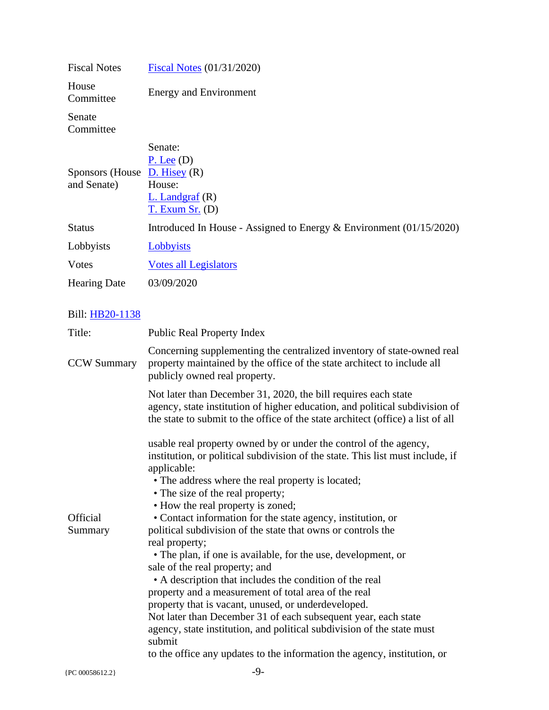| <b>Fiscal Notes</b>                            | Fiscal Notes (01/31/2020)                                                       |
|------------------------------------------------|---------------------------------------------------------------------------------|
| House<br>Committee                             | <b>Energy and Environment</b>                                                   |
| Senate<br>Committee                            |                                                                                 |
| Sponsors (House $D$ . Hisey (R)<br>and Senate) | Senate:<br>$P.$ Lee $(D)$<br>House:<br>$L.$ Landgraf $(R)$<br>$T.$ Exum Sr. (D) |
| <b>Status</b>                                  | Introduced In House - Assigned to Energy $\&$ Environment (01/15/2020)          |
| Lobbyists                                      | Lobbyists                                                                       |
| Votes                                          | <b>Votes all Legislators</b>                                                    |
| <b>Hearing Date</b>                            | 03/09/2020                                                                      |

| Title:             | <b>Public Real Property Index</b>                                                                                                                                                                                                |
|--------------------|----------------------------------------------------------------------------------------------------------------------------------------------------------------------------------------------------------------------------------|
| <b>CCW Summary</b> | Concerning supplementing the centralized inventory of state-owned real<br>property maintained by the office of the state architect to include all<br>publicly owned real property.                                               |
|                    | Not later than December 31, 2020, the bill requires each state<br>agency, state institution of higher education, and political subdivision of<br>the state to submit to the office of the state architect (office) a list of all |
|                    | usable real property owned by or under the control of the agency,                                                                                                                                                                |
|                    | institution, or political subdivision of the state. This list must include, if<br>applicable:                                                                                                                                    |
|                    | • The address where the real property is located;                                                                                                                                                                                |
|                    | • The size of the real property;                                                                                                                                                                                                 |
|                    | • How the real property is zoned;                                                                                                                                                                                                |
| Official           | • Contact information for the state agency, institution, or                                                                                                                                                                      |
| Summary            | political subdivision of the state that owns or controls the                                                                                                                                                                     |
|                    | real property;<br>• The plan, if one is available, for the use, development, or                                                                                                                                                  |
|                    | sale of the real property; and                                                                                                                                                                                                   |
|                    | • A description that includes the condition of the real                                                                                                                                                                          |
|                    | property and a measurement of total area of the real                                                                                                                                                                             |
|                    | property that is vacant, unused, or underdeveloped.                                                                                                                                                                              |
|                    | Not later than December 31 of each subsequent year, each state                                                                                                                                                                   |
|                    | agency, state institution, and political subdivision of the state must<br>submit                                                                                                                                                 |
|                    | to the office any updates to the information the agency, institution, or                                                                                                                                                         |
|                    |                                                                                                                                                                                                                                  |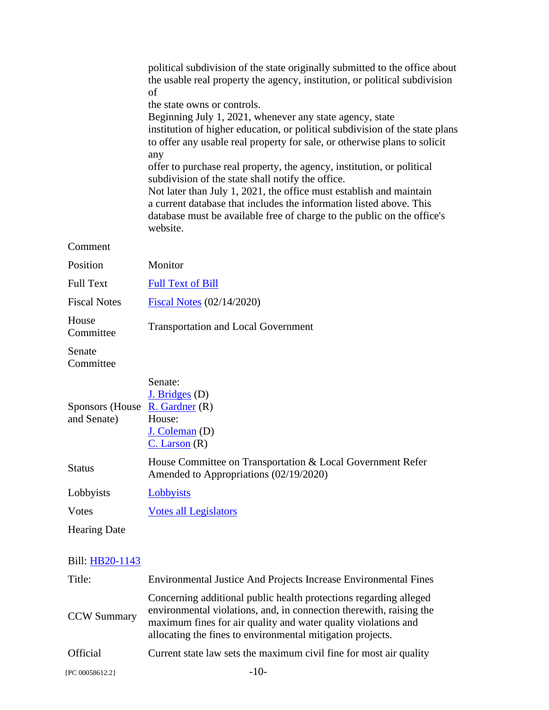|                                                             | political subdivision of the state originally submitted to the office about<br>the usable real property the agency, institution, or political subdivision<br>οf<br>the state owns or controls.<br>Beginning July 1, 2021, whenever any state agency, state<br>institution of higher education, or political subdivision of the state plans<br>to offer any usable real property for sale, or otherwise plans to solicit<br>any<br>offer to purchase real property, the agency, institution, or political<br>subdivision of the state shall notify the office.<br>Not later than July 1, 2021, the office must establish and maintain<br>a current database that includes the information listed above. This<br>database must be available free of charge to the public on the office's |
|-------------------------------------------------------------|----------------------------------------------------------------------------------------------------------------------------------------------------------------------------------------------------------------------------------------------------------------------------------------------------------------------------------------------------------------------------------------------------------------------------------------------------------------------------------------------------------------------------------------------------------------------------------------------------------------------------------------------------------------------------------------------------------------------------------------------------------------------------------------|
|                                                             | website.                                                                                                                                                                                                                                                                                                                                                                                                                                                                                                                                                                                                                                                                                                                                                                               |
| Comment                                                     |                                                                                                                                                                                                                                                                                                                                                                                                                                                                                                                                                                                                                                                                                                                                                                                        |
| Position                                                    | Monitor                                                                                                                                                                                                                                                                                                                                                                                                                                                                                                                                                                                                                                                                                                                                                                                |
| <b>Full Text</b>                                            | <b>Full Text of Bill</b>                                                                                                                                                                                                                                                                                                                                                                                                                                                                                                                                                                                                                                                                                                                                                               |
| <b>Fiscal Notes</b>                                         | Fiscal Notes (02/14/2020)                                                                                                                                                                                                                                                                                                                                                                                                                                                                                                                                                                                                                                                                                                                                                              |
| House<br>Committee                                          | <b>Transportation and Local Government</b>                                                                                                                                                                                                                                                                                                                                                                                                                                                                                                                                                                                                                                                                                                                                             |
| Senate<br>Committee                                         |                                                                                                                                                                                                                                                                                                                                                                                                                                                                                                                                                                                                                                                                                                                                                                                        |
| Sponsors (House $\overline{R}$ . Gardner (R)<br>and Senate) | Senate:<br>$J.$ Bridges (D)<br>House:<br>$J.$ Coleman $(D)$<br>$C.$ Larson $(R)$                                                                                                                                                                                                                                                                                                                                                                                                                                                                                                                                                                                                                                                                                                       |
| <b>Status</b>                                               | House Committee on Transportation & Local Government Refer<br>Amended to Appropriations (02/19/2020)                                                                                                                                                                                                                                                                                                                                                                                                                                                                                                                                                                                                                                                                                   |
| Lobbyists                                                   | Lobbyists                                                                                                                                                                                                                                                                                                                                                                                                                                                                                                                                                                                                                                                                                                                                                                              |
| <b>V</b> otes                                               | <b>Votes all Legislators</b>                                                                                                                                                                                                                                                                                                                                                                                                                                                                                                                                                                                                                                                                                                                                                           |
| <b>Hearing Date</b>                                         |                                                                                                                                                                                                                                                                                                                                                                                                                                                                                                                                                                                                                                                                                                                                                                                        |
| Bill: HB20-1143                                             |                                                                                                                                                                                                                                                                                                                                                                                                                                                                                                                                                                                                                                                                                                                                                                                        |
| Title:                                                      | <b>Environmental Justice And Projects Increase Environmental Fines</b>                                                                                                                                                                                                                                                                                                                                                                                                                                                                                                                                                                                                                                                                                                                 |
| <b>CCW Summary</b>                                          | Concerning additional public health protections regarding alleged<br>environmental violations, and, in connection therewith, raising the<br>maximum fines for air quality and water quality violations and<br>allocating the fines to environmental mitigation projects.                                                                                                                                                                                                                                                                                                                                                                                                                                                                                                               |
|                                                             |                                                                                                                                                                                                                                                                                                                                                                                                                                                                                                                                                                                                                                                                                                                                                                                        |

```
Official Current state law sets the maximum civil fine for most air quality
```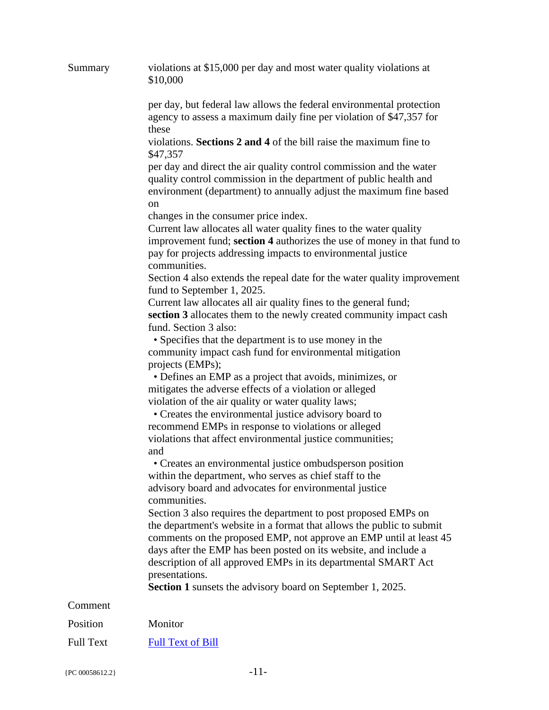| Summary          | violations at \$15,000 per day and most water quality violations at<br>\$10,000                                                                                                                                                                                                                                                                                                                                                      |
|------------------|--------------------------------------------------------------------------------------------------------------------------------------------------------------------------------------------------------------------------------------------------------------------------------------------------------------------------------------------------------------------------------------------------------------------------------------|
|                  | per day, but federal law allows the federal environmental protection<br>agency to assess a maximum daily fine per violation of \$47,357 for                                                                                                                                                                                                                                                                                          |
|                  | these<br>violations. Sections 2 and 4 of the bill raise the maximum fine to<br>\$47,357                                                                                                                                                                                                                                                                                                                                              |
|                  | per day and direct the air quality control commission and the water<br>quality control commission in the department of public health and<br>environment (department) to annually adjust the maximum fine based<br><sub>on</sub>                                                                                                                                                                                                      |
|                  | changes in the consumer price index.<br>Current law allocates all water quality fines to the water quality<br>improvement fund; section 4 authorizes the use of money in that fund to<br>pay for projects addressing impacts to environmental justice<br>communities.                                                                                                                                                                |
|                  | Section 4 also extends the repeal date for the water quality improvement<br>fund to September 1, 2025.                                                                                                                                                                                                                                                                                                                               |
|                  | Current law allocates all air quality fines to the general fund;<br>section 3 allocates them to the newly created community impact cash<br>fund. Section 3 also:                                                                                                                                                                                                                                                                     |
|                  | • Specifies that the department is to use money in the<br>community impact cash fund for environmental mitigation<br>projects (EMPs);                                                                                                                                                                                                                                                                                                |
|                  | • Defines an EMP as a project that avoids, minimizes, or<br>mitigates the adverse effects of a violation or alleged<br>violation of the air quality or water quality laws;<br>• Creates the environmental justice advisory board to<br>recommend EMPs in response to violations or alleged                                                                                                                                           |
|                  | violations that affect environmental justice communities;<br>and                                                                                                                                                                                                                                                                                                                                                                     |
|                  | • Creates an environmental justice ombudsperson position<br>within the department, who serves as chief staff to the<br>advisory board and advocates for environmental justice<br>communities.                                                                                                                                                                                                                                        |
|                  | Section 3 also requires the department to post proposed EMPs on<br>the department's website in a format that allows the public to submit<br>comments on the proposed EMP, not approve an EMP until at least 45<br>days after the EMP has been posted on its website, and include a<br>description of all approved EMPs in its departmental SMART Act<br>presentations.<br>Section 1 sunsets the advisory board on September 1, 2025. |
| Comment          |                                                                                                                                                                                                                                                                                                                                                                                                                                      |
| Position         | Monitor                                                                                                                                                                                                                                                                                                                                                                                                                              |
| <b>Full Text</b> | <b>Full Text of Bill</b>                                                                                                                                                                                                                                                                                                                                                                                                             |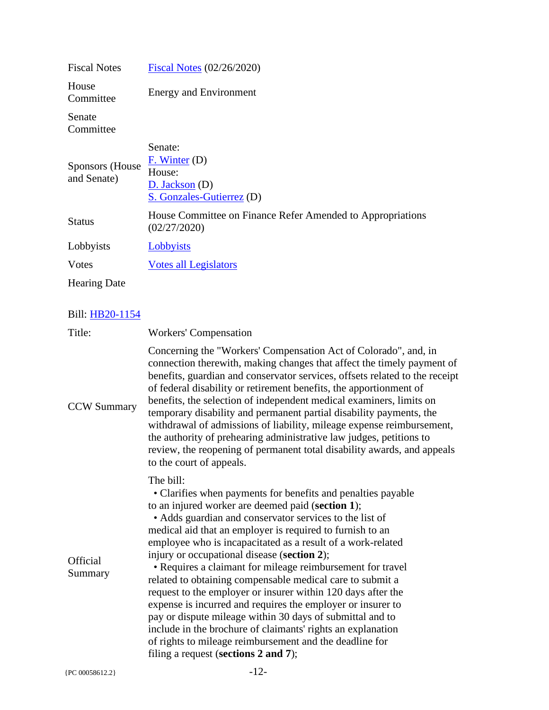| <b>Fiscal Notes</b>             | Fiscal Notes (02/26/2020)                                                               |
|---------------------------------|-----------------------------------------------------------------------------------------|
| House<br>Committee              | <b>Energy and Environment</b>                                                           |
| Senate<br>Committee             |                                                                                         |
| Sponsors (House)<br>and Senate) | Senate:<br>$F.$ Winter (D)<br>House:<br>$D.$ Jackson $(D)$<br>S. Gonzales-Gutierrez (D) |
| <b>Status</b>                   | House Committee on Finance Refer Amended to Appropriations<br>(02/27/2020)              |
| Lobbyists                       | Lobbyists                                                                               |
| Votes                           | <b>Votes all Legislators</b>                                                            |
| <b>Hearing Date</b>             |                                                                                         |

| Concerning the "Workers' Compensation Act of Colorado", and, in<br>connection therewith, making changes that affect the timely payment of<br>of federal disability or retirement benefits, the apportionment of<br>benefits, the selection of independent medical examiners, limits on<br><b>CCW Summary</b><br>temporary disability and permanent partial disability payments, the<br>withdrawal of admissions of liability, mileage expense reimbursement,<br>the authority of prehearing administrative law judges, petitions to<br>review, the reopening of permanent total disability awards, and appeals<br>to the court of appeals.<br>The bill:<br>• Clarifies when payments for benefits and penalties payable<br>to an injured worker are deemed paid (section 1);<br>• Adds guardian and conservator services to the list of<br>medical aid that an employer is required to furnish to an<br>employee who is incapacitated as a result of a work-related<br>injury or occupational disease (section 2);<br>Official<br>• Requires a claimant for mileage reimbursement for travel<br>Summary<br>related to obtaining compensable medical care to submit a<br>request to the employer or insurer within 120 days after the<br>expense is incurred and requires the employer or insurer to<br>pay or dispute mileage within 30 days of submittal and to<br>include in the brochure of claimants' rights an explanation<br>of rights to mileage reimbursement and the deadline for<br>filing a request (sections 2 and 7);<br>$-12-$<br>{PC 00058612.2} | Title: | <b>Workers' Compensation</b>                                                |
|-----------------------------------------------------------------------------------------------------------------------------------------------------------------------------------------------------------------------------------------------------------------------------------------------------------------------------------------------------------------------------------------------------------------------------------------------------------------------------------------------------------------------------------------------------------------------------------------------------------------------------------------------------------------------------------------------------------------------------------------------------------------------------------------------------------------------------------------------------------------------------------------------------------------------------------------------------------------------------------------------------------------------------------------------------------------------------------------------------------------------------------------------------------------------------------------------------------------------------------------------------------------------------------------------------------------------------------------------------------------------------------------------------------------------------------------------------------------------------------------------------------------------------------------------------------------|--------|-----------------------------------------------------------------------------|
|                                                                                                                                                                                                                                                                                                                                                                                                                                                                                                                                                                                                                                                                                                                                                                                                                                                                                                                                                                                                                                                                                                                                                                                                                                                                                                                                                                                                                                                                                                                                                                 |        | benefits, guardian and conservator services, offsets related to the receipt |
|                                                                                                                                                                                                                                                                                                                                                                                                                                                                                                                                                                                                                                                                                                                                                                                                                                                                                                                                                                                                                                                                                                                                                                                                                                                                                                                                                                                                                                                                                                                                                                 |        |                                                                             |
|                                                                                                                                                                                                                                                                                                                                                                                                                                                                                                                                                                                                                                                                                                                                                                                                                                                                                                                                                                                                                                                                                                                                                                                                                                                                                                                                                                                                                                                                                                                                                                 |        |                                                                             |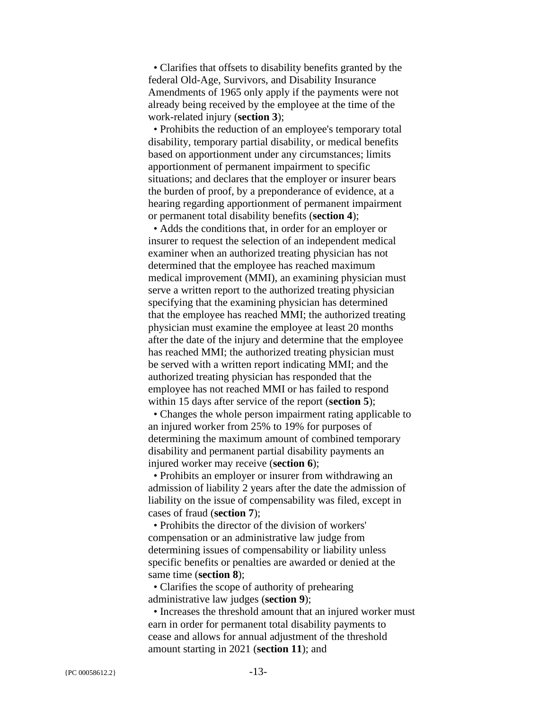• Clarifies that offsets to disability benefits granted by the federal Old-Age, Survivors, and Disability Insurance Amendments of 1965 only apply if the payments were not already being received by the employee at the time of the work-related injury (**section 3**);

 • Prohibits the reduction of an employee's temporary total disability, temporary partial disability, or medical benefits based on apportionment under any circumstances; limits apportionment of permanent impairment to specific situations; and declares that the employer or insurer bears the burden of proof, by a preponderance of evidence, at a hearing regarding apportionment of permanent impairment or permanent total disability benefits (**section 4**);

 • Adds the conditions that, in order for an employer or insurer to request the selection of an independent medical examiner when an authorized treating physician has not determined that the employee has reached maximum medical improvement (MMI), an examining physician must serve a written report to the authorized treating physician specifying that the examining physician has determined that the employee has reached MMI; the authorized treating physician must examine the employee at least 20 months after the date of the injury and determine that the employee has reached MMI; the authorized treating physician must be served with a written report indicating MMI; and the authorized treating physician has responded that the employee has not reached MMI or has failed to respond within 15 days after service of the report (**section 5**);

 • Changes the whole person impairment rating applicable to an injured worker from 25% to 19% for purposes of determining the maximum amount of combined temporary disability and permanent partial disability payments an injured worker may receive (**section 6**);

 • Prohibits an employer or insurer from withdrawing an admission of liability 2 years after the date the admission of liability on the issue of compensability was filed, except in cases of fraud (**section 7**);

 • Prohibits the director of the division of workers' compensation or an administrative law judge from determining issues of compensability or liability unless specific benefits or penalties are awarded or denied at the same time (**section 8**);

 • Clarifies the scope of authority of prehearing administrative law judges (**section 9**);

 • Increases the threshold amount that an injured worker must earn in order for permanent total disability payments to cease and allows for annual adjustment of the threshold amount starting in 2021 (**section 11**); and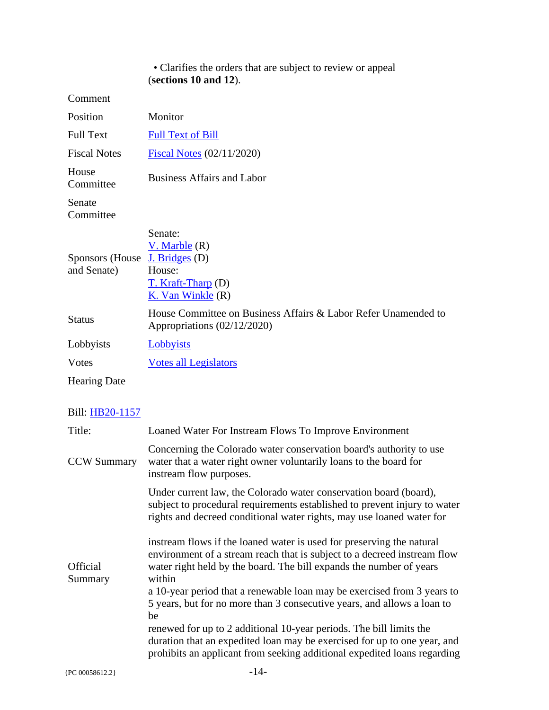#### • Clarifies the orders that are subject to review or appeal (**sections 10 and 12**).

Comment

| Position                                      | Monitor                                                                                         |
|-----------------------------------------------|-------------------------------------------------------------------------------------------------|
| <b>Full Text</b>                              | <b>Full Text of Bill</b>                                                                        |
| <b>Fiscal Notes</b>                           | Fiscal Notes $(02/11/2020)$                                                                     |
| House<br>Committee                            | <b>Business Affairs and Labor</b>                                                               |
| Senate<br>Committee                           |                                                                                                 |
| Sponsors (House J. Bridges (D)<br>and Senate) | Senate:<br>$V.$ Marble $(R)$<br>House:<br>$T.$ Kraft-Tharp (D)<br>K. Van Winkle $(R)$           |
| <b>Status</b>                                 | House Committee on Business Affairs & Labor Refer Unamended to<br>Appropriations $(02/12/2020)$ |
| Lobbyists                                     | Lobbyists                                                                                       |
| <b>V</b> otes                                 | <b>Votes all Legislators</b>                                                                    |
| <b>Hearing Date</b>                           |                                                                                                 |

| Title:                     | Loaned Water For Instream Flows To Improve Environment                                                                                                                                                                             |
|----------------------------|------------------------------------------------------------------------------------------------------------------------------------------------------------------------------------------------------------------------------------|
| <b>CCW Summary</b>         | Concerning the Colorado water conservation board's authority to use<br>water that a water right owner voluntarily loans to the board for<br>instream flow purposes.                                                                |
|                            | Under current law, the Colorado water conservation board (board),<br>subject to procedural requirements established to prevent injury to water<br>rights and decreed conditional water rights, may use loaned water for            |
| <b>Official</b><br>Summary | instream flows if the loaned water is used for preserving the natural<br>environment of a stream reach that is subject to a decreed instream flow<br>water right held by the board. The bill expands the number of years<br>within |
|                            | a 10-year period that a renewable loan may be exercised from 3 years to<br>5 years, but for no more than 3 consecutive years, and allows a loan to<br>be                                                                           |
|                            | renewed for up to 2 additional 10-year periods. The bill limits the<br>duration that an expedited loan may be exercised for up to one year, and<br>prohibits an applicant from seeking additional expedited loans regarding        |
| {PC 00058612.2}            | $-14-$                                                                                                                                                                                                                             |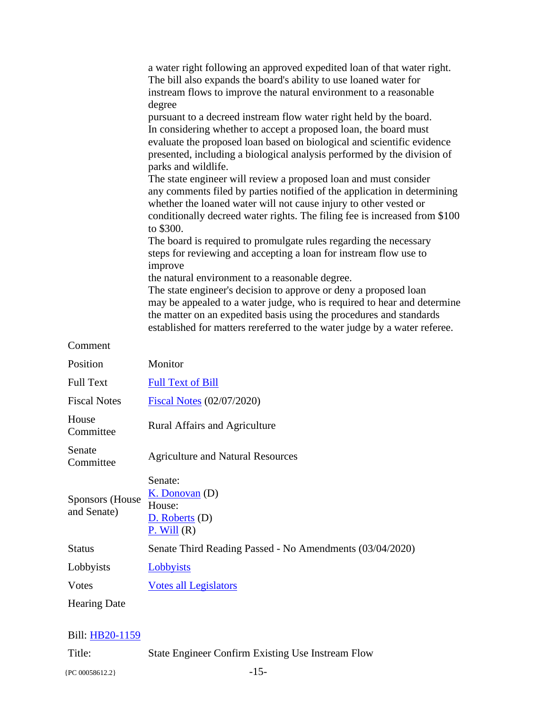|                                       | a water right following an approved expedited loan of that water right.<br>The bill also expands the board's ability to use loaned water for<br>instream flows to improve the natural environment to a reasonable<br>degree<br>pursuant to a decreed instream flow water right held by the board.<br>In considering whether to accept a proposed loan, the board must<br>evaluate the proposed loan based on biological and scientific evidence<br>presented, including a biological analysis performed by the division of |
|---------------------------------------|----------------------------------------------------------------------------------------------------------------------------------------------------------------------------------------------------------------------------------------------------------------------------------------------------------------------------------------------------------------------------------------------------------------------------------------------------------------------------------------------------------------------------|
|                                       | parks and wildlife.<br>The state engineer will review a proposed loan and must consider<br>any comments filed by parties notified of the application in determining<br>whether the loaned water will not cause injury to other vested or<br>conditionally decreed water rights. The filing fee is increased from \$100                                                                                                                                                                                                     |
|                                       | to \$300.<br>The board is required to promulgate rules regarding the necessary<br>steps for reviewing and accepting a loan for instream flow use to<br>improve<br>the natural environment to a reasonable degree.                                                                                                                                                                                                                                                                                                          |
|                                       | The state engineer's decision to approve or deny a proposed loan<br>may be appealed to a water judge, who is required to hear and determine<br>the matter on an expedited basis using the procedures and standards<br>established for matters rereferred to the water judge by a water referee.                                                                                                                                                                                                                            |
| Comment                               |                                                                                                                                                                                                                                                                                                                                                                                                                                                                                                                            |
| Position                              | Monitor                                                                                                                                                                                                                                                                                                                                                                                                                                                                                                                    |
| <b>Full Text</b>                      | <b>Full Text of Bill</b>                                                                                                                                                                                                                                                                                                                                                                                                                                                                                                   |
| <b>Fiscal Notes</b>                   | <b>Fiscal Notes</b> (02/07/2020)                                                                                                                                                                                                                                                                                                                                                                                                                                                                                           |
| House<br>Committee                    | <b>Rural Affairs and Agriculture</b>                                                                                                                                                                                                                                                                                                                                                                                                                                                                                       |
| Senate<br>Committee                   | <b>Agriculture and Natural Resources</b>                                                                                                                                                                                                                                                                                                                                                                                                                                                                                   |
| <b>Sponsors</b> (House<br>and Senate) | Senate:<br>$K.$ Donovan $(D)$<br>House:<br>$D.$ Roberts $(D)$<br>$P.$ Will $(R)$                                                                                                                                                                                                                                                                                                                                                                                                                                           |
| <b>Status</b>                         | Senate Third Reading Passed - No Amendments (03/04/2020)                                                                                                                                                                                                                                                                                                                                                                                                                                                                   |
| Lobbyists                             | Lobbyists                                                                                                                                                                                                                                                                                                                                                                                                                                                                                                                  |
| <b>Votes</b>                          | <b>Votes all Legislators</b>                                                                                                                                                                                                                                                                                                                                                                                                                                                                                               |
| <b>Hearing Date</b>                   |                                                                                                                                                                                                                                                                                                                                                                                                                                                                                                                            |
|                                       |                                                                                                                                                                                                                                                                                                                                                                                                                                                                                                                            |

Title: State Engineer Confirm Existing Use Instream Flow

{PC 00058612.2} -15-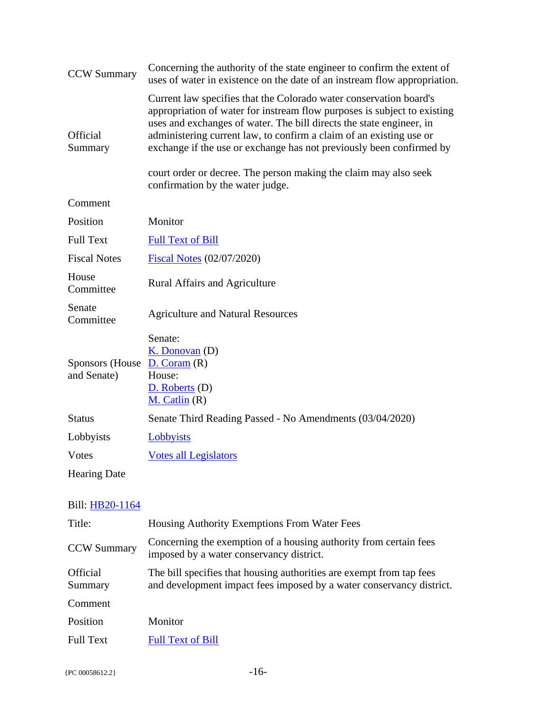| <b>CCW Summary</b>             | Concerning the authority of the state engineer to confirm the extent of<br>uses of water in existence on the date of an instream flow appropriation.                                                                                                                                                                                                                                                                                                                          |
|--------------------------------|-------------------------------------------------------------------------------------------------------------------------------------------------------------------------------------------------------------------------------------------------------------------------------------------------------------------------------------------------------------------------------------------------------------------------------------------------------------------------------|
| Official<br>Summary            | Current law specifies that the Colorado water conservation board's<br>appropriation of water for instream flow purposes is subject to existing<br>uses and exchanges of water. The bill directs the state engineer, in<br>administering current law, to confirm a claim of an existing use or<br>exchange if the use or exchange has not previously been confirmed by<br>court order or decree. The person making the claim may also seek<br>confirmation by the water judge. |
| Comment                        |                                                                                                                                                                                                                                                                                                                                                                                                                                                                               |
| Position                       | Monitor                                                                                                                                                                                                                                                                                                                                                                                                                                                                       |
| <b>Full Text</b>               | <b>Full Text of Bill</b>                                                                                                                                                                                                                                                                                                                                                                                                                                                      |
| <b>Fiscal Notes</b>            | Fiscal Notes (02/07/2020)                                                                                                                                                                                                                                                                                                                                                                                                                                                     |
| House<br>Committee             | <b>Rural Affairs and Agriculture</b>                                                                                                                                                                                                                                                                                                                                                                                                                                          |
| Senate<br>Committee            | <b>Agriculture and Natural Resources</b>                                                                                                                                                                                                                                                                                                                                                                                                                                      |
| Sponsors (House<br>and Senate) | Senate:<br>$K.$ Donovan $(D)$<br>D. Coram(R)<br>House:<br>$D.$ Roberts $(D)$<br>$M.$ Catlin $(R)$                                                                                                                                                                                                                                                                                                                                                                             |
| <b>Status</b>                  | Senate Third Reading Passed - No Amendments (03/04/2020)                                                                                                                                                                                                                                                                                                                                                                                                                      |
| Lobbyists                      | Lobbyists                                                                                                                                                                                                                                                                                                                                                                                                                                                                     |
| <b>V</b> otes                  | <b>Votes all Legislators</b>                                                                                                                                                                                                                                                                                                                                                                                                                                                  |
| <b>Hearing Date</b>            |                                                                                                                                                                                                                                                                                                                                                                                                                                                                               |

| Title:                     | <b>Housing Authority Exemptions From Water Fees</b>                                                                                          |
|----------------------------|----------------------------------------------------------------------------------------------------------------------------------------------|
| <b>CCW Summary</b>         | Concerning the exemption of a housing authority from certain fees<br>imposed by a water conservancy district.                                |
| <b>Official</b><br>Summary | The bill specifies that housing authorities are exempt from tap fees<br>and development impact fees imposed by a water conservancy district. |
| Comment                    |                                                                                                                                              |
| Position                   | Monitor                                                                                                                                      |
| <b>Full Text</b>           | <b>Full Text of Bill</b>                                                                                                                     |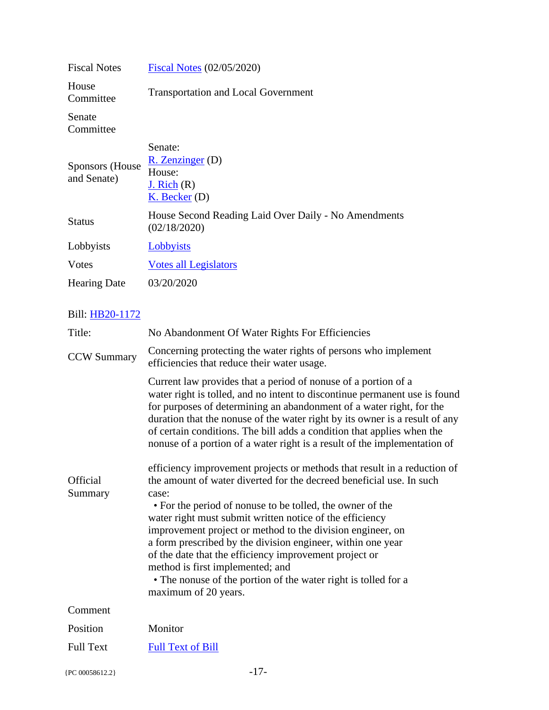| <b>Fiscal Notes</b>             | <b>Fiscal Notes (02/05/2020)</b>                                            |
|---------------------------------|-----------------------------------------------------------------------------|
| House<br>Committee              | <b>Transportation and Local Government</b>                                  |
| Senate<br>Committee             |                                                                             |
| Sponsors (House)<br>and Senate) | Senate:<br>$R.$ Zenzinger (D)<br>House:<br>J. Rich $(R)$<br>$K.$ Becker (D) |
| <b>Status</b>                   | House Second Reading Laid Over Daily - No Amendments<br>(02/18/2020)        |
| Lobbyists                       | Lobbyists                                                                   |
| Votes                           | <b>Votes all Legislators</b>                                                |
| <b>Hearing Date</b>             | 03/20/2020                                                                  |

| Title:              | No Abandonment Of Water Rights For Efficiencies                                                                                                                                                                                                                                                                                                                                                                                                                                                                                                                                                         |
|---------------------|---------------------------------------------------------------------------------------------------------------------------------------------------------------------------------------------------------------------------------------------------------------------------------------------------------------------------------------------------------------------------------------------------------------------------------------------------------------------------------------------------------------------------------------------------------------------------------------------------------|
| <b>CCW Summary</b>  | Concerning protecting the water rights of persons who implement<br>efficiencies that reduce their water usage.                                                                                                                                                                                                                                                                                                                                                                                                                                                                                          |
|                     | Current law provides that a period of nonuse of a portion of a<br>water right is tolled, and no intent to discontinue permanent use is found<br>for purposes of determining an abandonment of a water right, for the<br>duration that the nonuse of the water right by its owner is a result of any<br>of certain conditions. The bill adds a condition that applies when the<br>nonuse of a portion of a water right is a result of the implementation of                                                                                                                                              |
| Official<br>Summary | efficiency improvement projects or methods that result in a reduction of<br>the amount of water diverted for the decreed beneficial use. In such<br>case:<br>• For the period of nonuse to be tolled, the owner of the<br>water right must submit written notice of the efficiency<br>improvement project or method to the division engineer, on<br>a form prescribed by the division engineer, within one year<br>of the date that the efficiency improvement project or<br>method is first implemented; and<br>• The nonuse of the portion of the water right is tolled for a<br>maximum of 20 years. |
| Comment             |                                                                                                                                                                                                                                                                                                                                                                                                                                                                                                                                                                                                         |
| Position            | Monitor                                                                                                                                                                                                                                                                                                                                                                                                                                                                                                                                                                                                 |
| <b>Full Text</b>    | <b>Full Text of Bill</b>                                                                                                                                                                                                                                                                                                                                                                                                                                                                                                                                                                                |
| {PC 00058612.2}     | $-17-$                                                                                                                                                                                                                                                                                                                                                                                                                                                                                                                                                                                                  |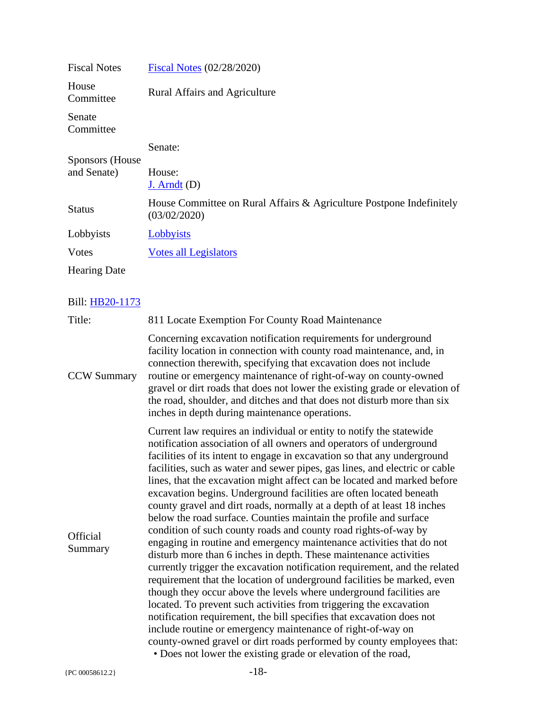| <b>Fiscal Notes</b> | <b>Fiscal Notes (02/28/2020)</b>                                                     |
|---------------------|--------------------------------------------------------------------------------------|
| House<br>Committee  | <b>Rural Affairs and Agriculture</b>                                                 |
| Senate<br>Committee |                                                                                      |
| Sponsors (House)    | Senate:                                                                              |
|                     |                                                                                      |
| and Senate)         | House:                                                                               |
|                     | $J.$ Arndt $(D)$                                                                     |
| <b>Status</b>       | House Committee on Rural Affairs & Agriculture Postpone Indefinitely<br>(03/02/2020) |
| Lobbyists           | Lobbyists                                                                            |
| Votes               | <b>Votes all Legislators</b>                                                         |
| <b>Hearing Date</b> |                                                                                      |

| Title:              | 811 Locate Exemption For County Road Maintenance                                                                                                                                                                                                                                                                                                                                                                                                                                                                                                                                                                                                                                                                                                                                                                                                                                                                                                                                                                                                                                                                                                                                                                                                                                                                                                                                                                  |
|---------------------|-------------------------------------------------------------------------------------------------------------------------------------------------------------------------------------------------------------------------------------------------------------------------------------------------------------------------------------------------------------------------------------------------------------------------------------------------------------------------------------------------------------------------------------------------------------------------------------------------------------------------------------------------------------------------------------------------------------------------------------------------------------------------------------------------------------------------------------------------------------------------------------------------------------------------------------------------------------------------------------------------------------------------------------------------------------------------------------------------------------------------------------------------------------------------------------------------------------------------------------------------------------------------------------------------------------------------------------------------------------------------------------------------------------------|
| <b>CCW Summary</b>  | Concerning excavation notification requirements for underground<br>facility location in connection with county road maintenance, and, in<br>connection therewith, specifying that excavation does not include<br>routine or emergency maintenance of right-of-way on county-owned<br>gravel or dirt roads that does not lower the existing grade or elevation of<br>the road, shoulder, and ditches and that does not disturb more than six<br>inches in depth during maintenance operations.                                                                                                                                                                                                                                                                                                                                                                                                                                                                                                                                                                                                                                                                                                                                                                                                                                                                                                                     |
| Official<br>Summary | Current law requires an individual or entity to notify the statewide<br>notification association of all owners and operators of underground<br>facilities of its intent to engage in excavation so that any underground<br>facilities, such as water and sewer pipes, gas lines, and electric or cable<br>lines, that the excavation might affect can be located and marked before<br>excavation begins. Underground facilities are often located beneath<br>county gravel and dirt roads, normally at a depth of at least 18 inches<br>below the road surface. Counties maintain the profile and surface<br>condition of such county roads and county road rights-of-way by<br>engaging in routine and emergency maintenance activities that do not<br>disturb more than 6 inches in depth. These maintenance activities<br>currently trigger the excavation notification requirement, and the related<br>requirement that the location of underground facilities be marked, even<br>though they occur above the levels where underground facilities are<br>located. To prevent such activities from triggering the excavation<br>notification requirement, the bill specifies that excavation does not<br>include routine or emergency maintenance of right-of-way on<br>county-owned gravel or dirt roads performed by county employees that:<br>• Does not lower the existing grade or elevation of the road, |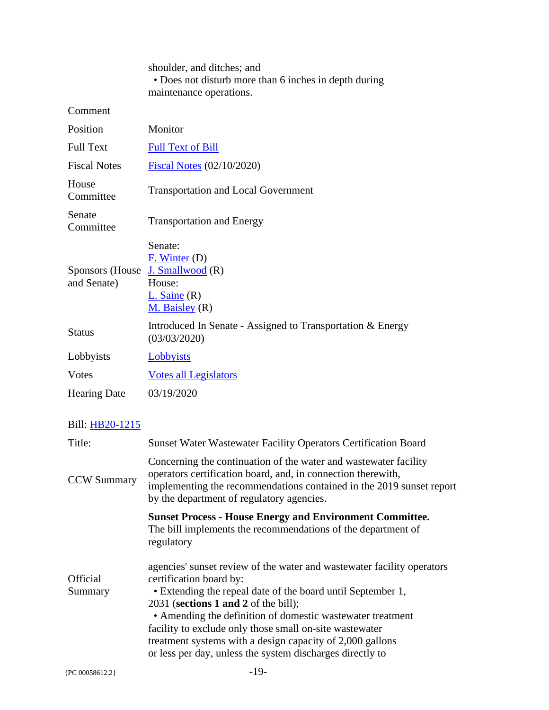|                                | shoulder, and ditches; and<br>• Does not disturb more than 6 inches in depth during<br>maintenance operations. |
|--------------------------------|----------------------------------------------------------------------------------------------------------------|
| Comment                        |                                                                                                                |
| Position                       | Monitor                                                                                                        |
| <b>Full Text</b>               | <b>Full Text of Bill</b>                                                                                       |
| <b>Fiscal Notes</b>            | Fiscal Notes $(02/10/2020)$                                                                                    |
| House<br>Committee             | <b>Transportation and Local Government</b>                                                                     |
| Senate<br>Committee            | <b>Transportation and Energy</b>                                                                               |
| Sponsors (House<br>and Senate) | Senate:<br>F. Winter (D)<br>J. Smallwood (R)<br>House:<br>$L.$ Saine $(R)$<br>$M.$ Baisley $(R)$               |
| <b>Status</b>                  | Introduced In Senate - Assigned to Transportation & Energy<br>(03/03/2020)                                     |
| Lobbyists                      | Lobbyists                                                                                                      |
| Votes                          | <b>Votes all Legislators</b>                                                                                   |
| <b>Hearing Date</b>            | 03/19/2020                                                                                                     |

| Title:                     | <b>Sunset Water Wastewater Facility Operators Certification Board</b>                                                                                                                                                                                                                                                                                                                                                                                          |
|----------------------------|----------------------------------------------------------------------------------------------------------------------------------------------------------------------------------------------------------------------------------------------------------------------------------------------------------------------------------------------------------------------------------------------------------------------------------------------------------------|
| <b>CCW Summary</b>         | Concerning the continuation of the water and wastewater facility<br>operators certification board, and, in connection therewith,<br>implementing the recommendations contained in the 2019 sunset report<br>by the department of regulatory agencies.                                                                                                                                                                                                          |
|                            | <b>Sunset Process - House Energy and Environment Committee.</b><br>The bill implements the recommendations of the department of<br>regulatory                                                                                                                                                                                                                                                                                                                  |
| <b>Official</b><br>Summary | agencies' sunset review of the water and wastewater facility operators<br>certification board by:<br>• Extending the repeal date of the board until September 1,<br>$2031$ (sections 1 and 2 of the bill);<br>• Amending the definition of domestic wastewater treatment<br>facility to exclude only those small on-site was tewater<br>treatment systems with a design capacity of 2,000 gallons<br>or less per day, unless the system discharges directly to |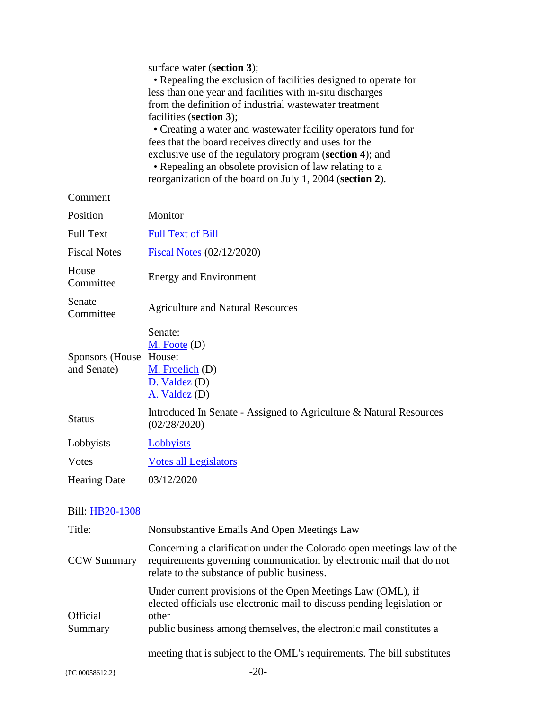|                                       | surface water (section 3);<br>• Repealing the exclusion of facilities designed to operate for<br>less than one year and facilities with in-situ discharges<br>from the definition of industrial wastewater treatment<br>facilities (section 3);<br>• Creating a water and wastewater facility operators fund for<br>fees that the board receives directly and uses for the<br>exclusive use of the regulatory program (section 4); and<br>• Repealing an obsolete provision of law relating to a<br>reorganization of the board on July 1, 2004 (section 2). |
|---------------------------------------|--------------------------------------------------------------------------------------------------------------------------------------------------------------------------------------------------------------------------------------------------------------------------------------------------------------------------------------------------------------------------------------------------------------------------------------------------------------------------------------------------------------------------------------------------------------|
| Comment                               |                                                                                                                                                                                                                                                                                                                                                                                                                                                                                                                                                              |
| Position                              | Monitor                                                                                                                                                                                                                                                                                                                                                                                                                                                                                                                                                      |
| <b>Full Text</b>                      | <b>Full Text of Bill</b>                                                                                                                                                                                                                                                                                                                                                                                                                                                                                                                                     |
| <b>Fiscal Notes</b>                   | Fiscal Notes (02/12/2020)                                                                                                                                                                                                                                                                                                                                                                                                                                                                                                                                    |
| House<br>Committee                    | <b>Energy and Environment</b>                                                                                                                                                                                                                                                                                                                                                                                                                                                                                                                                |
| Senate<br>Committee                   | <b>Agriculture and Natural Resources</b>                                                                                                                                                                                                                                                                                                                                                                                                                                                                                                                     |
| <b>Sponsors</b> (House<br>and Senate) | Senate:<br>$M.$ Foote $(D)$<br>House:<br>M. Froelich (D)<br>D. Valdez (D)<br>A. Valdez (D)                                                                                                                                                                                                                                                                                                                                                                                                                                                                   |
| <b>Status</b>                         | Introduced In Senate - Assigned to Agriculture & Natural Resources<br>(02/28/2020)                                                                                                                                                                                                                                                                                                                                                                                                                                                                           |
| Lobbyists                             | Lobbyists                                                                                                                                                                                                                                                                                                                                                                                                                                                                                                                                                    |
| Votes                                 | <b>Votes all Legislators</b>                                                                                                                                                                                                                                                                                                                                                                                                                                                                                                                                 |
| <b>Hearing Date</b>                   | 03/12/2020                                                                                                                                                                                                                                                                                                                                                                                                                                                                                                                                                   |

| Title:                     | Nonsubstantive Emails And Open Meetings Law                                                                                                                                                                            |
|----------------------------|------------------------------------------------------------------------------------------------------------------------------------------------------------------------------------------------------------------------|
| <b>CCW Summary</b>         | Concerning a clarification under the Colorado open meetings law of the<br>requirements governing communication by electronic mail that do not<br>relate to the substance of public business.                           |
| <b>Official</b><br>Summary | Under current provisions of the Open Meetings Law (OML), if<br>elected officials use electronic mail to discuss pending legislation or<br>other<br>public business among themselves, the electronic mail constitutes a |
|                            | meeting that is subject to the OML's requirements. The bill substitutes                                                                                                                                                |
| ${PC 00058612.2}$          |                                                                                                                                                                                                                        |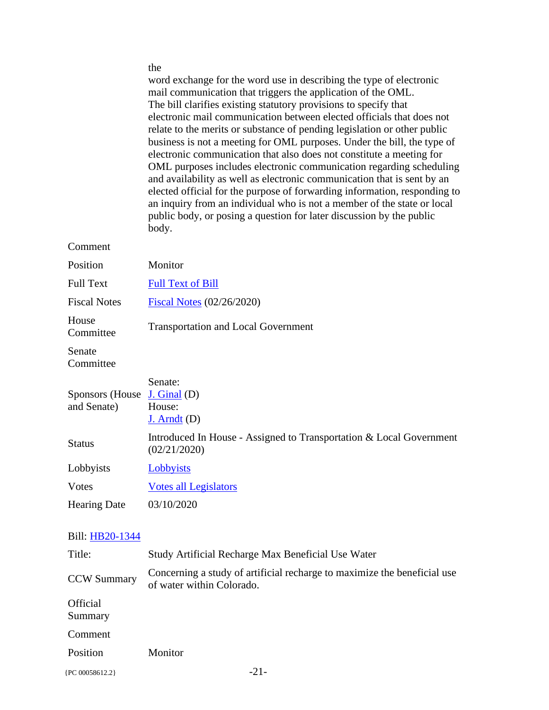|                                 | the<br>word exchange for the word use in describing the type of electronic<br>mail communication that triggers the application of the OML.<br>The bill clarifies existing statutory provisions to specify that<br>electronic mail communication between elected officials that does not<br>relate to the merits or substance of pending legislation or other public<br>business is not a meeting for OML purposes. Under the bill, the type of<br>electronic communication that also does not constitute a meeting for<br>OML purposes includes electronic communication regarding scheduling<br>and availability as well as electronic communication that is sent by an<br>elected official for the purpose of forwarding information, responding to<br>an inquiry from an individual who is not a member of the state or local<br>public body, or posing a question for later discussion by the public<br>body. |
|---------------------------------|-------------------------------------------------------------------------------------------------------------------------------------------------------------------------------------------------------------------------------------------------------------------------------------------------------------------------------------------------------------------------------------------------------------------------------------------------------------------------------------------------------------------------------------------------------------------------------------------------------------------------------------------------------------------------------------------------------------------------------------------------------------------------------------------------------------------------------------------------------------------------------------------------------------------|
| Comment                         |                                                                                                                                                                                                                                                                                                                                                                                                                                                                                                                                                                                                                                                                                                                                                                                                                                                                                                                   |
| Position                        | Monitor                                                                                                                                                                                                                                                                                                                                                                                                                                                                                                                                                                                                                                                                                                                                                                                                                                                                                                           |
| <b>Full Text</b>                | <b>Full Text of Bill</b>                                                                                                                                                                                                                                                                                                                                                                                                                                                                                                                                                                                                                                                                                                                                                                                                                                                                                          |
| <b>Fiscal Notes</b>             | Fiscal Notes (02/26/2020)                                                                                                                                                                                                                                                                                                                                                                                                                                                                                                                                                                                                                                                                                                                                                                                                                                                                                         |
| House<br>Committee              | <b>Transportation and Local Government</b>                                                                                                                                                                                                                                                                                                                                                                                                                                                                                                                                                                                                                                                                                                                                                                                                                                                                        |
| Senate<br>Committee             |                                                                                                                                                                                                                                                                                                                                                                                                                                                                                                                                                                                                                                                                                                                                                                                                                                                                                                                   |
| Sponsors (House)<br>and Senate) | Senate:<br>$J.$ Ginal $(D)$<br>House:<br>$J.$ Arndt $(D)$                                                                                                                                                                                                                                                                                                                                                                                                                                                                                                                                                                                                                                                                                                                                                                                                                                                         |
| <b>Status</b>                   | Introduced In House - Assigned to Transportation & Local Government<br>(02/21/2020)                                                                                                                                                                                                                                                                                                                                                                                                                                                                                                                                                                                                                                                                                                                                                                                                                               |
| Lobbyists                       | Lobbyists                                                                                                                                                                                                                                                                                                                                                                                                                                                                                                                                                                                                                                                                                                                                                                                                                                                                                                         |
| Votes                           | <b>Votes all Legislators</b>                                                                                                                                                                                                                                                                                                                                                                                                                                                                                                                                                                                                                                                                                                                                                                                                                                                                                      |
| <b>Hearing Date</b>             | 03/10/2020                                                                                                                                                                                                                                                                                                                                                                                                                                                                                                                                                                                                                                                                                                                                                                                                                                                                                                        |
| Bill: HB20-1344<br>Title:       | Study Artificial Recharge Max Beneficial Use Water                                                                                                                                                                                                                                                                                                                                                                                                                                                                                                                                                                                                                                                                                                                                                                                                                                                                |
|                                 |                                                                                                                                                                                                                                                                                                                                                                                                                                                                                                                                                                                                                                                                                                                                                                                                                                                                                                                   |

| Title:                     | Study Artificial Recharge Max Beneficial Use Water                                                    |
|----------------------------|-------------------------------------------------------------------------------------------------------|
| <b>CCW Summary</b>         | Concerning a study of artificial recharge to maximize the beneficial use<br>of water within Colorado. |
| <b>Official</b><br>Summary |                                                                                                       |
| Comment                    |                                                                                                       |
| Position                   | Monitor                                                                                               |
| ${PC 00058612.2}$          | $-21-$                                                                                                |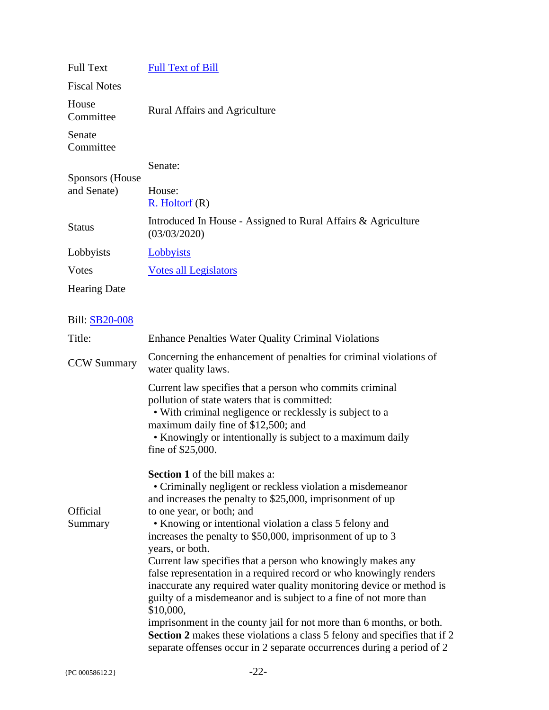| <b>Full Text</b>      | <b>Full Text of Bill</b>                                                                                                                                                                                                                                                                                                                                                                                                                                                                                                                                                                                                                                                                                                                                                                                                                                                       |
|-----------------------|--------------------------------------------------------------------------------------------------------------------------------------------------------------------------------------------------------------------------------------------------------------------------------------------------------------------------------------------------------------------------------------------------------------------------------------------------------------------------------------------------------------------------------------------------------------------------------------------------------------------------------------------------------------------------------------------------------------------------------------------------------------------------------------------------------------------------------------------------------------------------------|
| <b>Fiscal Notes</b>   |                                                                                                                                                                                                                                                                                                                                                                                                                                                                                                                                                                                                                                                                                                                                                                                                                                                                                |
| House<br>Committee    | <b>Rural Affairs and Agriculture</b>                                                                                                                                                                                                                                                                                                                                                                                                                                                                                                                                                                                                                                                                                                                                                                                                                                           |
| Senate<br>Committee   |                                                                                                                                                                                                                                                                                                                                                                                                                                                                                                                                                                                                                                                                                                                                                                                                                                                                                |
| Sponsors (House       | Senate:                                                                                                                                                                                                                                                                                                                                                                                                                                                                                                                                                                                                                                                                                                                                                                                                                                                                        |
| and Senate)           | House:<br>$R.$ Holtorf $(R)$                                                                                                                                                                                                                                                                                                                                                                                                                                                                                                                                                                                                                                                                                                                                                                                                                                                   |
| <b>Status</b>         | Introduced In House - Assigned to Rural Affairs & Agriculture<br>(03/03/2020)                                                                                                                                                                                                                                                                                                                                                                                                                                                                                                                                                                                                                                                                                                                                                                                                  |
| Lobbyists             | Lobbyists                                                                                                                                                                                                                                                                                                                                                                                                                                                                                                                                                                                                                                                                                                                                                                                                                                                                      |
| <b>V</b> otes         | <b>Votes all Legislators</b>                                                                                                                                                                                                                                                                                                                                                                                                                                                                                                                                                                                                                                                                                                                                                                                                                                                   |
| <b>Hearing Date</b>   |                                                                                                                                                                                                                                                                                                                                                                                                                                                                                                                                                                                                                                                                                                                                                                                                                                                                                |
|                       |                                                                                                                                                                                                                                                                                                                                                                                                                                                                                                                                                                                                                                                                                                                                                                                                                                                                                |
| <b>Bill: SB20-008</b> |                                                                                                                                                                                                                                                                                                                                                                                                                                                                                                                                                                                                                                                                                                                                                                                                                                                                                |
| Title:                | <b>Enhance Penalties Water Quality Criminal Violations</b>                                                                                                                                                                                                                                                                                                                                                                                                                                                                                                                                                                                                                                                                                                                                                                                                                     |
| <b>CCW Summary</b>    | Concerning the enhancement of penalties for criminal violations of<br>water quality laws.                                                                                                                                                                                                                                                                                                                                                                                                                                                                                                                                                                                                                                                                                                                                                                                      |
|                       | Current law specifies that a person who commits criminal<br>pollution of state waters that is committed:<br>• With criminal negligence or recklessly is subject to a<br>maximum daily fine of \$12,500; and<br>• Knowingly or intentionally is subject to a maximum daily<br>fine of \$25,000.                                                                                                                                                                                                                                                                                                                                                                                                                                                                                                                                                                                 |
| Official<br>Summary   | <b>Section 1</b> of the bill makes a:<br>• Criminally negligent or reckless violation a misdemeanor<br>and increases the penalty to \$25,000, imprisonment of up<br>to one year, or both; and<br>• Knowing or intentional violation a class 5 felony and<br>increases the penalty to \$50,000, imprisonment of up to 3<br>years, or both.<br>Current law specifies that a person who knowingly makes any<br>false representation in a required record or who knowingly renders<br>inaccurate any required water quality monitoring device or method is<br>guilty of a misdemeanor and is subject to a fine of not more than<br>\$10,000,<br>imprisonment in the county jail for not more than 6 months, or both.<br><b>Section 2</b> makes these violations a class 5 felony and specifies that if 2<br>separate offenses occur in 2 separate occurrences during a period of 2 |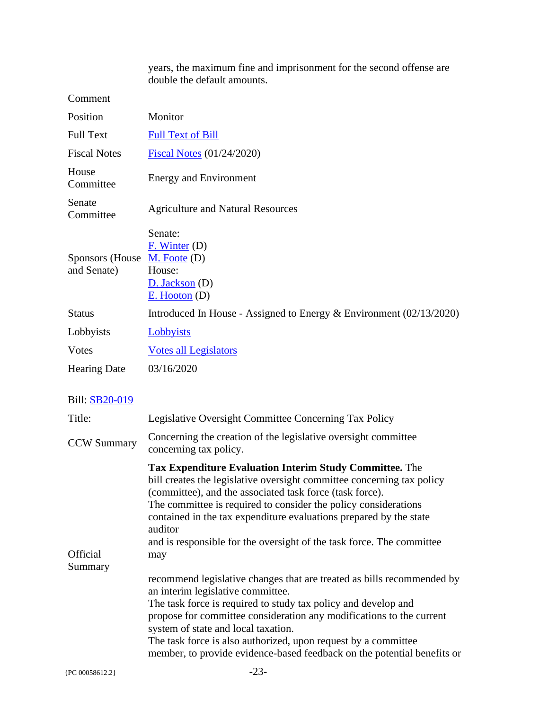years, the maximum fine and imprisonment for the second offense are double the default amounts.

Comment

| Position                                    | Monitor                                                                     |
|---------------------------------------------|-----------------------------------------------------------------------------|
| <b>Full Text</b>                            | <b>Full Text of Bill</b>                                                    |
| <b>Fiscal Notes</b>                         | <b>Fiscal Notes (01/24/2020)</b>                                            |
| House<br>Committee                          | <b>Energy and Environment</b>                                               |
| Senate<br>Committee                         | <b>Agriculture and Natural Resources</b>                                    |
| Sponsors (House M. Foote (D)<br>and Senate) | Senate:<br>F. Winter (D)<br>House:<br>$D.$ Jackson (D)<br>$E.$ Hooton $(D)$ |
| <b>Status</b>                               | Introduced In House - Assigned to Energy $& Environment (02/13/2020)$       |
| Lobbyists                                   | Lobbyists                                                                   |
| <b>V</b> otes                               | <b>Votes all Legislators</b>                                                |
| <b>Hearing Date</b>                         | 03/16/2020                                                                  |

| Title:              | Legislative Oversight Committee Concerning Tax Policy                                                                                                                                                                                                                                                                                                                                                                                                                                                                                                                                                                                                                                                                                                                                                                                                                                 |
|---------------------|---------------------------------------------------------------------------------------------------------------------------------------------------------------------------------------------------------------------------------------------------------------------------------------------------------------------------------------------------------------------------------------------------------------------------------------------------------------------------------------------------------------------------------------------------------------------------------------------------------------------------------------------------------------------------------------------------------------------------------------------------------------------------------------------------------------------------------------------------------------------------------------|
| <b>CCW Summary</b>  | Concerning the creation of the legislative oversight committee<br>concerning tax policy.                                                                                                                                                                                                                                                                                                                                                                                                                                                                                                                                                                                                                                                                                                                                                                                              |
| Official<br>Summary | <b>Tax Expenditure Evaluation Interim Study Committee.</b> The<br>bill creates the legislative oversight committee concerning tax policy<br>(committee), and the associated task force (task force).<br>The committee is required to consider the policy considerations<br>contained in the tax expenditure evaluations prepared by the state<br>auditor<br>and is responsible for the oversight of the task force. The committee<br>may<br>recommend legislative changes that are treated as bills recommended by<br>an interim legislative committee.<br>The task force is required to study tax policy and develop and<br>propose for committee consideration any modifications to the current<br>system of state and local taxation.<br>The task force is also authorized, upon request by a committee<br>member, to provide evidence-based feedback on the potential benefits or |
| {PC 00058612.2}     | $-23-$                                                                                                                                                                                                                                                                                                                                                                                                                                                                                                                                                                                                                                                                                                                                                                                                                                                                                |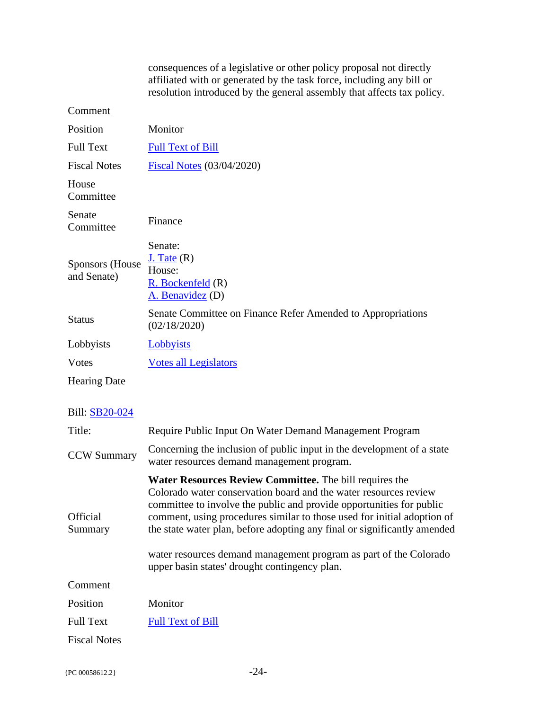|                                       | consequences of a legislative or other policy proposal not directly<br>affiliated with or generated by the task force, including any bill or<br>resolution introduced by the general assembly that affects tax policy. |
|---------------------------------------|------------------------------------------------------------------------------------------------------------------------------------------------------------------------------------------------------------------------|
| Comment                               |                                                                                                                                                                                                                        |
| Position                              | Monitor                                                                                                                                                                                                                |
| <b>Full Text</b>                      | <b>Full Text of Bill</b>                                                                                                                                                                                               |
| <b>Fiscal Notes</b>                   | <b>Fiscal Notes (03/04/2020)</b>                                                                                                                                                                                       |
| House<br>Committee                    |                                                                                                                                                                                                                        |
| Senate<br>Committee                   | Finance                                                                                                                                                                                                                |
| <b>Sponsors</b> (House<br>and Senate) | Senate:<br>$J.$ Tate $(R)$<br>House:<br>$R.$ Bockenfeld $(R)$<br>A. Benavidez (D)                                                                                                                                      |
| <b>Status</b>                         | Senate Committee on Finance Refer Amended to Appropriations<br>(02/18/2020)                                                                                                                                            |
| Lobbyists                             | <b>Lobbyists</b>                                                                                                                                                                                                       |
| Votes                                 | <b>Votes all Legislators</b>                                                                                                                                                                                           |
| <b>Hearing Date</b>                   |                                                                                                                                                                                                                        |

| Title:                     | Require Public Input On Water Demand Management Program                                                                                                                                                                                                                                                                                                                                                                                                                                 |
|----------------------------|-----------------------------------------------------------------------------------------------------------------------------------------------------------------------------------------------------------------------------------------------------------------------------------------------------------------------------------------------------------------------------------------------------------------------------------------------------------------------------------------|
| <b>CCW Summary</b>         | Concerning the inclusion of public input in the development of a state<br>water resources demand management program.                                                                                                                                                                                                                                                                                                                                                                    |
| <b>Official</b><br>Summary | <b>Water Resources Review Committee.</b> The bill requires the<br>Colorado water conservation board and the water resources review<br>committee to involve the public and provide opportunities for public<br>comment, using procedures similar to those used for initial adoption of<br>the state water plan, before adopting any final or significantly amended<br>water resources demand management program as part of the Colorado<br>upper basin states' drought contingency plan. |
| Comment                    |                                                                                                                                                                                                                                                                                                                                                                                                                                                                                         |
| Position                   | Monitor                                                                                                                                                                                                                                                                                                                                                                                                                                                                                 |
| <b>Full Text</b>           | <b>Full Text of Bill</b>                                                                                                                                                                                                                                                                                                                                                                                                                                                                |
| <b>Fiscal Notes</b>        |                                                                                                                                                                                                                                                                                                                                                                                                                                                                                         |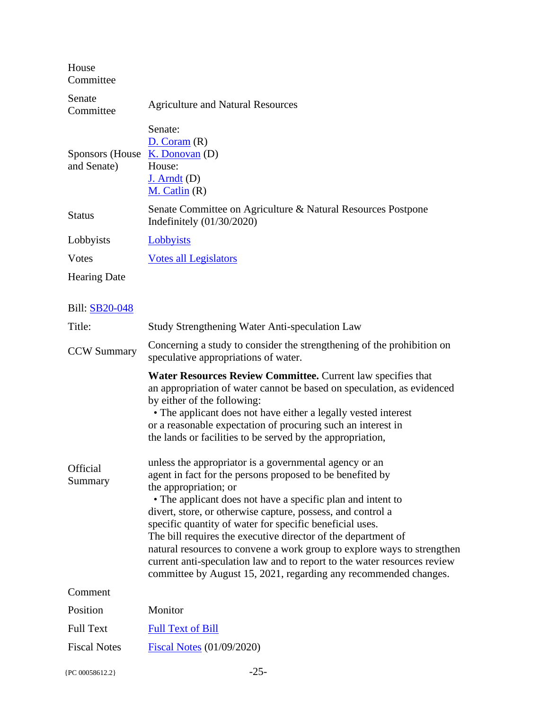House Committee

| Senate<br>Committee            | <b>Agriculture and Natural Resources</b>                                                        |
|--------------------------------|-------------------------------------------------------------------------------------------------|
| Sponsors (House<br>and Senate) | Senate:<br>D. Coram(R)<br>$K.$ Donovan $(D)$<br>House:<br>$J.$ Arndt $(D)$<br>$M.$ Catlin $(R)$ |
| <b>Status</b>                  | Senate Committee on Agriculture & Natural Resources Postpone<br>Indefinitely $(01/30/2020)$     |
| Lobbyists                      | Lobbyists                                                                                       |
| Votes                          | <b>Votes all Legislators</b>                                                                    |
| <b>Hearing Date</b>            |                                                                                                 |

| Title:              | Study Strengthening Water Anti-speculation Law                                                                                                                                                                                                                                                                                                                                                                                                                                                                                                                                                                                                                                                                                                                                                                                                                                                                                                                                                              |
|---------------------|-------------------------------------------------------------------------------------------------------------------------------------------------------------------------------------------------------------------------------------------------------------------------------------------------------------------------------------------------------------------------------------------------------------------------------------------------------------------------------------------------------------------------------------------------------------------------------------------------------------------------------------------------------------------------------------------------------------------------------------------------------------------------------------------------------------------------------------------------------------------------------------------------------------------------------------------------------------------------------------------------------------|
| <b>CCW Summary</b>  | Concerning a study to consider the strengthening of the prohibition on<br>speculative appropriations of water.                                                                                                                                                                                                                                                                                                                                                                                                                                                                                                                                                                                                                                                                                                                                                                                                                                                                                              |
| Official<br>Summary | Water Resources Review Committee. Current law specifies that<br>an appropriation of water cannot be based on speculation, as evidenced<br>by either of the following:<br>• The applicant does not have either a legally vested interest<br>or a reasonable expectation of procuring such an interest in<br>the lands or facilities to be served by the appropriation,<br>unless the appropriator is a governmental agency or an<br>agent in fact for the persons proposed to be benefited by<br>the appropriation; or<br>• The applicant does not have a specific plan and intent to<br>divert, store, or otherwise capture, possess, and control a<br>specific quantity of water for specific beneficial uses.<br>The bill requires the executive director of the department of<br>natural resources to convene a work group to explore ways to strengthen<br>current anti-speculation law and to report to the water resources review<br>committee by August 15, 2021, regarding any recommended changes. |
| Comment             |                                                                                                                                                                                                                                                                                                                                                                                                                                                                                                                                                                                                                                                                                                                                                                                                                                                                                                                                                                                                             |
| Position            | Monitor                                                                                                                                                                                                                                                                                                                                                                                                                                                                                                                                                                                                                                                                                                                                                                                                                                                                                                                                                                                                     |
| <b>Full Text</b>    | <b>Full Text of Bill</b>                                                                                                                                                                                                                                                                                                                                                                                                                                                                                                                                                                                                                                                                                                                                                                                                                                                                                                                                                                                    |
| <b>Fiscal Notes</b> | <b>Fiscal Notes (01/09/2020)</b>                                                                                                                                                                                                                                                                                                                                                                                                                                                                                                                                                                                                                                                                                                                                                                                                                                                                                                                                                                            |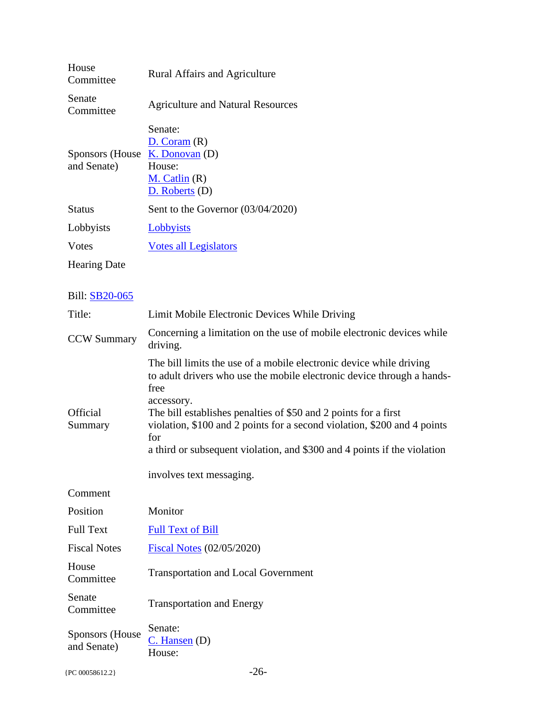| House<br>Committee              | <b>Rural Affairs and Agriculture</b>                                                      |
|---------------------------------|-------------------------------------------------------------------------------------------|
| Senate<br>Committee             | <b>Agriculture and Natural Resources</b>                                                  |
| Sponsors (House)<br>and Senate) | Senate:<br>D. Coram(R)<br>$K.$ Donovan $(D)$<br>House:<br>M. Catlin (R)<br>D. Roberts (D) |
| <b>Status</b>                   | Sent to the Governor $(03/04/2020)$                                                       |
| Lobbyists                       | Lobbyists                                                                                 |
| Votes                           | <b>Votes all Legislators</b>                                                              |
| <b>Hearing Date</b>             |                                                                                           |
|                                 |                                                                                           |

| Title:                                | Limit Mobile Electronic Devices While Driving                                                                                                                                                                                                                                                                                                                                                                                     |
|---------------------------------------|-----------------------------------------------------------------------------------------------------------------------------------------------------------------------------------------------------------------------------------------------------------------------------------------------------------------------------------------------------------------------------------------------------------------------------------|
| <b>CCW Summary</b>                    | Concerning a limitation on the use of mobile electronic devices while<br>driving.                                                                                                                                                                                                                                                                                                                                                 |
| <b>Official</b><br>Summary            | The bill limits the use of a mobile electronic device while driving<br>to adult drivers who use the mobile electronic device through a hands-<br>free<br>accessory.<br>The bill establishes penalties of \$50 and 2 points for a first<br>violation, \$100 and 2 points for a second violation, \$200 and 4 points<br>for<br>a third or subsequent violation, and \$300 and 4 points if the violation<br>involves text messaging. |
| Comment                               |                                                                                                                                                                                                                                                                                                                                                                                                                                   |
| Position                              | Monitor                                                                                                                                                                                                                                                                                                                                                                                                                           |
| <b>Full Text</b>                      | <b>Full Text of Bill</b>                                                                                                                                                                                                                                                                                                                                                                                                          |
| <b>Fiscal Notes</b>                   | <b>Fiscal Notes</b> (02/05/2020)                                                                                                                                                                                                                                                                                                                                                                                                  |
| House<br>Committee                    | <b>Transportation and Local Government</b>                                                                                                                                                                                                                                                                                                                                                                                        |
| Senate<br>Committee                   | <b>Transportation and Energy</b>                                                                                                                                                                                                                                                                                                                                                                                                  |
| <b>Sponsors</b> (House<br>and Senate) | Senate:<br>$C.$ Hansen $(D)$<br>House:                                                                                                                                                                                                                                                                                                                                                                                            |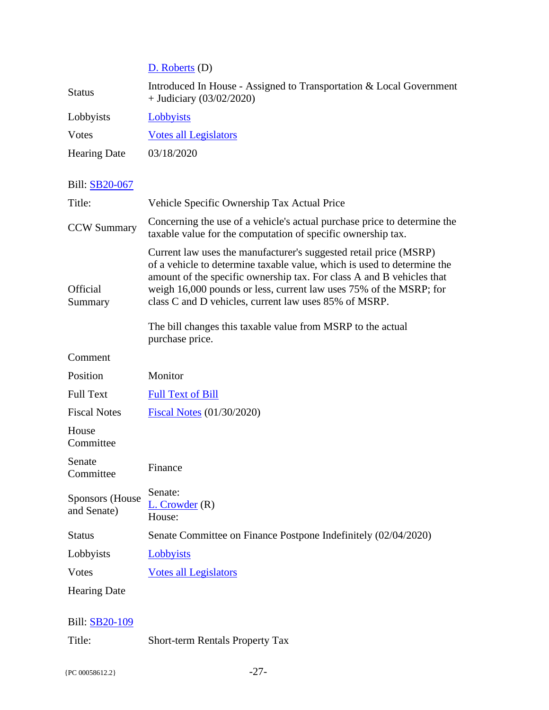[D. Roberts](http://coloradocapitolwatch.com/legislator/0/2020/837/1/) (D)

| <b>Status</b>       | Introduced In House - Assigned to Transportation & Local Government<br>$+$ Judiciary (03/02/2020) |
|---------------------|---------------------------------------------------------------------------------------------------|
| Lobbyists           | Lobbyists                                                                                         |
| <b>V</b> otes       | <b>Votes all Legislators</b>                                                                      |
| <b>Hearing Date</b> | 03/18/2020                                                                                        |

# Bill: [SB20-067](http://coloradocapitolwatch.com/bill/0/SB20-067/2020/1/)

| Title:                         | Vehicle Specific Ownership Tax Actual Price                                                                                                                                                                                                                                                                                                          |
|--------------------------------|------------------------------------------------------------------------------------------------------------------------------------------------------------------------------------------------------------------------------------------------------------------------------------------------------------------------------------------------------|
| <b>CCW Summary</b>             | Concerning the use of a vehicle's actual purchase price to determine the<br>taxable value for the computation of specific ownership tax.                                                                                                                                                                                                             |
| <b>Official</b><br>Summary     | Current law uses the manufacturer's suggested retail price (MSRP)<br>of a vehicle to determine taxable value, which is used to determine the<br>amount of the specific ownership tax. For class A and B vehicles that<br>weigh 16,000 pounds or less, current law uses 75% of the MSRP; for<br>class C and D vehicles, current law uses 85% of MSRP. |
|                                | The bill changes this taxable value from MSRP to the actual<br>purchase price.                                                                                                                                                                                                                                                                       |
| Comment                        |                                                                                                                                                                                                                                                                                                                                                      |
| Position                       | Monitor                                                                                                                                                                                                                                                                                                                                              |
| <b>Full Text</b>               | <b>Full Text of Bill</b>                                                                                                                                                                                                                                                                                                                             |
| <b>Fiscal Notes</b>            | <b>Fiscal Notes (01/30/2020)</b>                                                                                                                                                                                                                                                                                                                     |
| House<br>Committee             |                                                                                                                                                                                                                                                                                                                                                      |
| Senate<br>Committee            | Finance                                                                                                                                                                                                                                                                                                                                              |
| Sponsors (House<br>and Senate) | Senate:<br>$L.$ Crowder $(R)$<br>House:                                                                                                                                                                                                                                                                                                              |
| <b>Status</b>                  | Senate Committee on Finance Postpone Indefinitely (02/04/2020)                                                                                                                                                                                                                                                                                       |
| Lobbyists                      | Lobbyists                                                                                                                                                                                                                                                                                                                                            |
| <b>Votes</b>                   | <b>Votes all Legislators</b>                                                                                                                                                                                                                                                                                                                         |
| <b>Hearing Date</b>            |                                                                                                                                                                                                                                                                                                                                                      |
|                                |                                                                                                                                                                                                                                                                                                                                                      |

# Bill: [SB20-109](http://coloradocapitolwatch.com/bill/0/SB20-109/2020/1/)

Title: Short-term Rentals Property Tax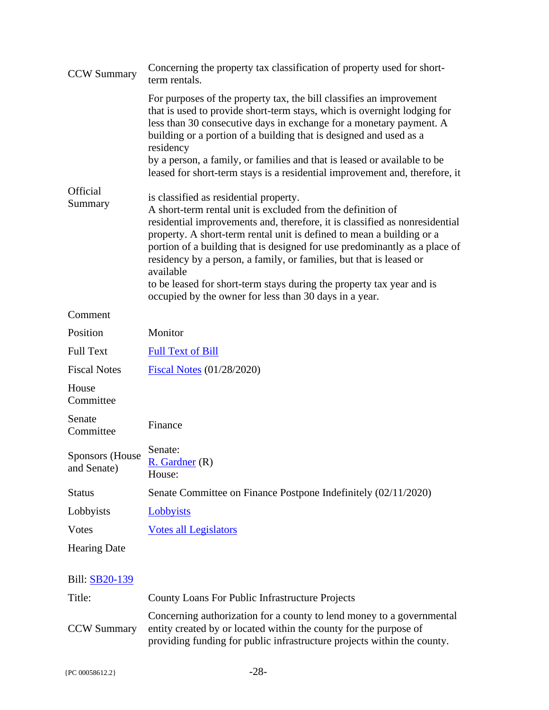| <b>CCW Summary</b>             | Concerning the property tax classification of property used for short-<br>term rentals.                                                                                                                                                                                                                                                                                                                                                                                                                                                                            |
|--------------------------------|--------------------------------------------------------------------------------------------------------------------------------------------------------------------------------------------------------------------------------------------------------------------------------------------------------------------------------------------------------------------------------------------------------------------------------------------------------------------------------------------------------------------------------------------------------------------|
|                                | For purposes of the property tax, the bill classifies an improvement<br>that is used to provide short-term stays, which is overnight lodging for<br>less than 30 consecutive days in exchange for a monetary payment. A<br>building or a portion of a building that is designed and used as a<br>residency<br>by a person, a family, or families and that is leased or available to be<br>leased for short-term stays is a residential improvement and, therefore, it                                                                                              |
| <b>Official</b><br>Summary     | is classified as residential property.<br>A short-term rental unit is excluded from the definition of<br>residential improvements and, therefore, it is classified as nonresidential<br>property. A short-term rental unit is defined to mean a building or a<br>portion of a building that is designed for use predominantly as a place of<br>residency by a person, a family, or families, but that is leased or<br>available<br>to be leased for short-term stays during the property tax year and is<br>occupied by the owner for less than 30 days in a year. |
| Comment                        |                                                                                                                                                                                                                                                                                                                                                                                                                                                                                                                                                                    |
| Position                       | Monitor                                                                                                                                                                                                                                                                                                                                                                                                                                                                                                                                                            |
| <b>Full Text</b>               | <b>Full Text of Bill</b>                                                                                                                                                                                                                                                                                                                                                                                                                                                                                                                                           |
| <b>Fiscal Notes</b>            | <b>Fiscal Notes (01/28/2020)</b>                                                                                                                                                                                                                                                                                                                                                                                                                                                                                                                                   |
| House<br>Committee             |                                                                                                                                                                                                                                                                                                                                                                                                                                                                                                                                                                    |
| Senate<br>Committee            | Finance                                                                                                                                                                                                                                                                                                                                                                                                                                                                                                                                                            |
| Sponsors (House<br>and Senate) | Senate:<br><u>R. Gardner</u> (R)<br>House:                                                                                                                                                                                                                                                                                                                                                                                                                                                                                                                         |
| <b>Status</b>                  | Senate Committee on Finance Postpone Indefinitely (02/11/2020)                                                                                                                                                                                                                                                                                                                                                                                                                                                                                                     |
| Lobbyists                      | Lobbyists                                                                                                                                                                                                                                                                                                                                                                                                                                                                                                                                                          |
| Votes                          | <b>Votes all Legislators</b>                                                                                                                                                                                                                                                                                                                                                                                                                                                                                                                                       |
| <b>Hearing Date</b>            |                                                                                                                                                                                                                                                                                                                                                                                                                                                                                                                                                                    |
|                                |                                                                                                                                                                                                                                                                                                                                                                                                                                                                                                                                                                    |

| Title:             | County Loans For Public Infrastructure Projects                                                                                                                                                                       |
|--------------------|-----------------------------------------------------------------------------------------------------------------------------------------------------------------------------------------------------------------------|
| <b>CCW Summary</b> | Concerning authorization for a county to lend money to a governmental<br>entity created by or located within the county for the purpose of<br>providing funding for public infrastructure projects within the county. |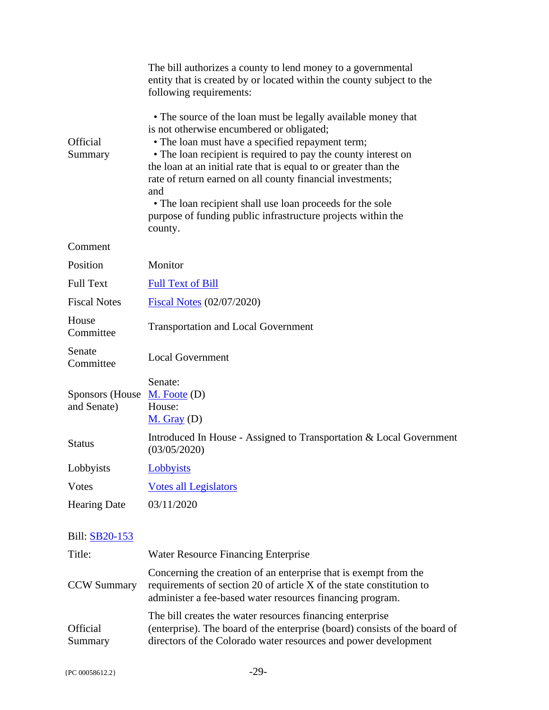|                                 | The bill authorizes a county to lend money to a governmental<br>entity that is created by or located within the county subject to the<br>following requirements:                                                                                                                                                                                                                                                                                                                                                  |
|---------------------------------|-------------------------------------------------------------------------------------------------------------------------------------------------------------------------------------------------------------------------------------------------------------------------------------------------------------------------------------------------------------------------------------------------------------------------------------------------------------------------------------------------------------------|
| <b>Official</b><br>Summary      | • The source of the loan must be legally available money that<br>is not otherwise encumbered or obligated;<br>• The loan must have a specified repayment term;<br>• The loan recipient is required to pay the county interest on<br>the loan at an initial rate that is equal to or greater than the<br>rate of return earned on all county financial investments;<br>and<br>• The loan recipient shall use loan proceeds for the sole<br>purpose of funding public infrastructure projects within the<br>county. |
| Comment                         |                                                                                                                                                                                                                                                                                                                                                                                                                                                                                                                   |
| Position                        | Monitor                                                                                                                                                                                                                                                                                                                                                                                                                                                                                                           |
| <b>Full Text</b>                | <b>Full Text of Bill</b>                                                                                                                                                                                                                                                                                                                                                                                                                                                                                          |
| <b>Fiscal Notes</b>             | <b>Fiscal Notes (02/07/2020)</b>                                                                                                                                                                                                                                                                                                                                                                                                                                                                                  |
| House<br>Committee              | <b>Transportation and Local Government</b>                                                                                                                                                                                                                                                                                                                                                                                                                                                                        |
| Senate<br>Committee             | <b>Local Government</b>                                                                                                                                                                                                                                                                                                                                                                                                                                                                                           |
| Sponsors (House)<br>and Senate) | Senate:<br>$M.$ Foote $(D)$<br>House:<br>$M.$ Gray (D)                                                                                                                                                                                                                                                                                                                                                                                                                                                            |
| <b>Status</b>                   | Introduced In House - Assigned to Transportation & Local Government<br>(03/05/2020)                                                                                                                                                                                                                                                                                                                                                                                                                               |
| Lobbyists                       | Lobbyists                                                                                                                                                                                                                                                                                                                                                                                                                                                                                                         |
| <b>V</b> otes                   | <b>Votes all Legislators</b>                                                                                                                                                                                                                                                                                                                                                                                                                                                                                      |
| <b>Hearing Date</b>             | 03/11/2020                                                                                                                                                                                                                                                                                                                                                                                                                                                                                                        |
| Bill: SB20-153                  |                                                                                                                                                                                                                                                                                                                                                                                                                                                                                                                   |
| Title:                          | Water Resource Financing Enterprise                                                                                                                                                                                                                                                                                                                                                                                                                                                                               |
| <b>CCW Summary</b>              | Concerning the creation of an enterprise that is exempt from the<br>requirements of section 20 of article X of the state constitution to                                                                                                                                                                                                                                                                                                                                                                          |

administer a fee-based water resources financing program.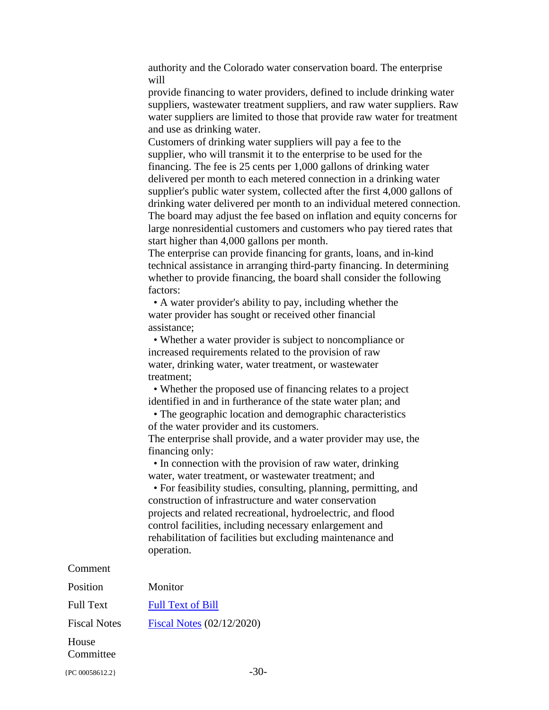authority and the Colorado water conservation board. The enterprise will

provide financing to water providers, defined to include drinking water suppliers, wastewater treatment suppliers, and raw water suppliers. Raw water suppliers are limited to those that provide raw water for treatment and use as drinking water.

Customers of drinking water suppliers will pay a fee to the supplier, who will transmit it to the enterprise to be used for the financing. The fee is 25 cents per 1,000 gallons of drinking water delivered per month to each metered connection in a drinking water supplier's public water system, collected after the first 4,000 gallons of drinking water delivered per month to an individual metered connection. The board may adjust the fee based on inflation and equity concerns for large nonresidential customers and customers who pay tiered rates that start higher than 4,000 gallons per month.

The enterprise can provide financing for grants, loans, and in-kind technical assistance in arranging third-party financing. In determining whether to provide financing, the board shall consider the following factors:

 • A water provider's ability to pay, including whether the water provider has sought or received other financial assistance;

 • Whether a water provider is subject to noncompliance or increased requirements related to the provision of raw water, drinking water, water treatment, or wastewater treatment;

 • Whether the proposed use of financing relates to a project identified in and in furtherance of the state water plan; and

 • The geographic location and demographic characteristics of the water provider and its customers. The enterprise shall provide, and a water provider may use, the

financing only:

 • In connection with the provision of raw water, drinking water, water treatment, or wastewater treatment; and

 • For feasibility studies, consulting, planning, permitting, and construction of infrastructure and water conservation projects and related recreational, hydroelectric, and flood control facilities, including necessary enlargement and rehabilitation of facilities but excluding maintenance and operation.

#### Comment

| Position            | Monitor                   |
|---------------------|---------------------------|
| <b>Full Text</b>    | <b>Full Text of Bill</b>  |
| <b>Fiscal Notes</b> | Fiscal Notes (02/12/2020) |
| House<br>Committee  |                           |

 ${P<sub>C</sub> 00058612.2}$  -30-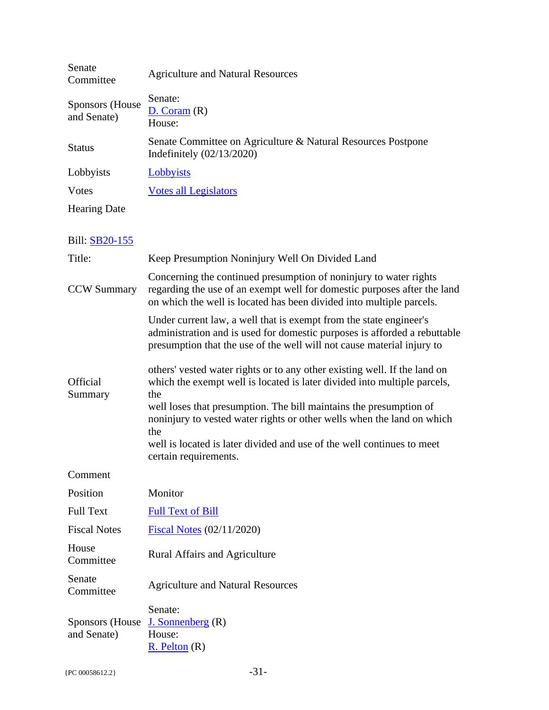| Senate<br>Committee                   | <b>Agriculture and Natural Resources</b>                                                                                                                                                                                                                                                                                                                                                                               |
|---------------------------------------|------------------------------------------------------------------------------------------------------------------------------------------------------------------------------------------------------------------------------------------------------------------------------------------------------------------------------------------------------------------------------------------------------------------------|
| <b>Sponsors</b> (House<br>and Senate) | Senate:<br>D. Coram(R)<br>House:                                                                                                                                                                                                                                                                                                                                                                                       |
| <b>Status</b>                         | Senate Committee on Agriculture & Natural Resources Postpone<br>Indefinitely $(02/13/2020)$                                                                                                                                                                                                                                                                                                                            |
| Lobbyists                             | Lobbyists                                                                                                                                                                                                                                                                                                                                                                                                              |
| <b>V</b> otes                         | <b>Votes all Legislators</b>                                                                                                                                                                                                                                                                                                                                                                                           |
| <b>Hearing Date</b>                   |                                                                                                                                                                                                                                                                                                                                                                                                                        |
| Bill: SB20-155                        |                                                                                                                                                                                                                                                                                                                                                                                                                        |
| Title:                                | Keep Presumption Noninjury Well On Divided Land                                                                                                                                                                                                                                                                                                                                                                        |
| <b>CCW Summary</b>                    | Concerning the continued presumption of noninjury to water rights<br>regarding the use of an exempt well for domestic purposes after the land<br>on which the well is located has been divided into multiple parcels.                                                                                                                                                                                                  |
|                                       | Under current law, a well that is exempt from the state engineer's<br>administration and is used for domestic purposes is afforded a rebuttable<br>presumption that the use of the well will not cause material injury to                                                                                                                                                                                              |
| Official<br>Summary                   | others' vested water rights or to any other existing well. If the land on<br>which the exempt well is located is later divided into multiple parcels,<br>the<br>well loses that presumption. The bill maintains the presumption of<br>noninjury to vested water rights or other wells when the land on which<br>the<br>well is located is later divided and use of the well continues to meet<br>certain requirements. |
| Comment                               |                                                                                                                                                                                                                                                                                                                                                                                                                        |
| Position                              | Monitor                                                                                                                                                                                                                                                                                                                                                                                                                |
| <b>Full Text</b>                      | <b>Full Text of Bill</b>                                                                                                                                                                                                                                                                                                                                                                                               |
| <b>Fiscal Notes</b>                   | Fiscal Notes (02/11/2020)                                                                                                                                                                                                                                                                                                                                                                                              |
| House<br>Committee                    | <b>Rural Affairs and Agriculture</b>                                                                                                                                                                                                                                                                                                                                                                                   |
| Senate<br>Committee                   | <b>Agriculture and Natural Resources</b>                                                                                                                                                                                                                                                                                                                                                                               |
| Sponsors (House)<br>and Senate)       | Senate:<br>J. Sonnenberg $(R)$<br>House:<br>$R.$ Pelton $(R)$                                                                                                                                                                                                                                                                                                                                                          |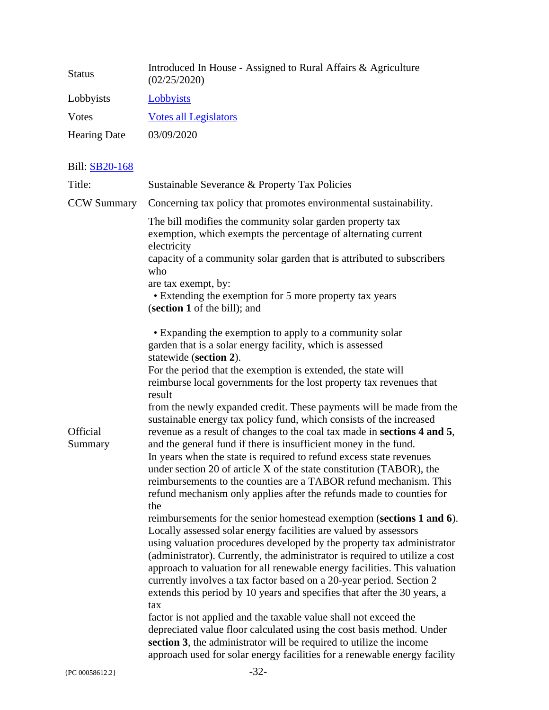| <b>Status</b>       | Introduced In House - Assigned to Rural Affairs & Agriculture<br>(02/25/2020) |
|---------------------|-------------------------------------------------------------------------------|
| Lobbyists           | Lobbyists                                                                     |
| Votes               | <b>Votes all Legislators</b>                                                  |
| <b>Hearing Date</b> | 03/09/2020                                                                    |
|                     |                                                                               |

| Title:              | Sustainable Severance & Property Tax Policies                                                                                                                                                                                                                                                                                                                                                                                                                                                                                                                                                                                                                                                                                                                                                                                               |
|---------------------|---------------------------------------------------------------------------------------------------------------------------------------------------------------------------------------------------------------------------------------------------------------------------------------------------------------------------------------------------------------------------------------------------------------------------------------------------------------------------------------------------------------------------------------------------------------------------------------------------------------------------------------------------------------------------------------------------------------------------------------------------------------------------------------------------------------------------------------------|
| <b>CCW Summary</b>  | Concerning tax policy that promotes environmental sustainability.                                                                                                                                                                                                                                                                                                                                                                                                                                                                                                                                                                                                                                                                                                                                                                           |
|                     | The bill modifies the community solar garden property tax<br>exemption, which exempts the percentage of alternating current<br>electricity<br>capacity of a community solar garden that is attributed to subscribers<br>who<br>are tax exempt, by:<br>• Extending the exemption for 5 more property tax years<br>(section 1 of the bill); and                                                                                                                                                                                                                                                                                                                                                                                                                                                                                               |
|                     | • Expanding the exemption to apply to a community solar<br>garden that is a solar energy facility, which is assessed<br>statewide (section 2).<br>For the period that the exemption is extended, the state will                                                                                                                                                                                                                                                                                                                                                                                                                                                                                                                                                                                                                             |
|                     | reimburse local governments for the lost property tax revenues that                                                                                                                                                                                                                                                                                                                                                                                                                                                                                                                                                                                                                                                                                                                                                                         |
| Official<br>Summary | result<br>from the newly expanded credit. These payments will be made from the<br>sustainable energy tax policy fund, which consists of the increased<br>revenue as a result of changes to the coal tax made in sections 4 and 5,<br>and the general fund if there is insufficient money in the fund.<br>In years when the state is required to refund excess state revenues<br>under section 20 of article X of the state constitution (TABOR), the<br>reimbursements to the counties are a TABOR refund mechanism. This<br>refund mechanism only applies after the refunds made to counties for<br>the                                                                                                                                                                                                                                    |
|                     | reimbursements for the senior homestead exemption (sections 1 and 6).<br>Locally assessed solar energy facilities are valued by assessors<br>using valuation procedures developed by the property tax administrator<br>(administrator). Currently, the administrator is required to utilize a cost<br>approach to valuation for all renewable energy facilities. This valuation<br>currently involves a tax factor based on a 20-year period. Section 2<br>extends this period by 10 years and specifies that after the 30 years, a<br>tax<br>factor is not applied and the taxable value shall not exceed the<br>depreciated value floor calculated using the cost basis method. Under<br>section 3, the administrator will be required to utilize the income<br>approach used for solar energy facilities for a renewable energy facility |